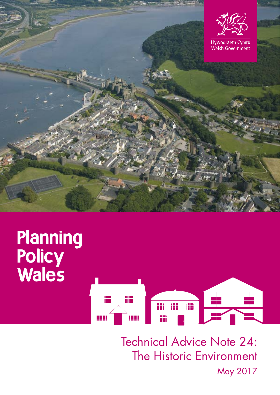



Technical Advice Note 24: The Historic Environment May 2017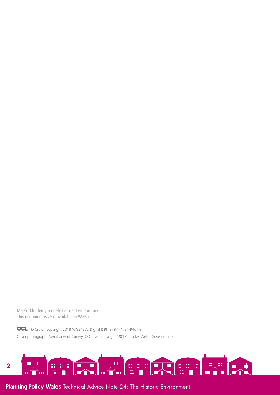Mae'r ddogfen yma hefyd ar gael yn Gymraeg. This document is also available in Welsh.

**OGL** © Crown copyright 2018 WG34372 Digital ISBN 978-1-4734-9461-9 Cover photograph: Aerial view of Conwy (© Crown copyright (2017), Cadw, Welsh Government).

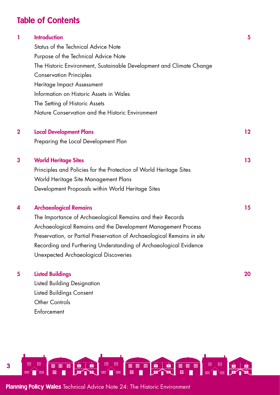# Table of Contents

|             | <b>Introduction</b>                                                     | 5  |
|-------------|-------------------------------------------------------------------------|----|
|             | Status of the Technical Advice Note                                     |    |
|             | Purpose of the Technical Advice Note                                    |    |
|             | The Historic Environment, Sustainable Development and Climate Change    |    |
|             | <b>Conservation Principles</b>                                          |    |
|             | Heritage Impact Assessment                                              |    |
|             | Information on Historic Assets in Wales                                 |    |
|             | The Setting of Historic Assets                                          |    |
|             | Nature Conservation and the Historic Environment                        |    |
| $\mathbf 2$ | <b>Local Development Plans</b>                                          | 12 |
|             | Preparing the Local Development Plan                                    |    |
| 3           | <b>World Heritage Sites</b>                                             | 13 |
|             | Principles and Policies for the Protection of World Heritage Sites      |    |
|             | World Heritage Site Management Plans                                    |    |
|             | Development Proposals within World Heritage Sites                       |    |
| 4           | <b>Archaeological Remains</b>                                           | 15 |
|             | The Importance of Archaeological Remains and their Records              |    |
|             | Archaeological Remains and the Development Management Process           |    |
|             | Preservation, or Partial Preservation of Archaeological Remains in situ |    |
|             | Recording and Furthering Understanding of Archaeological Evidence       |    |
|             | Unexpected Archaeological Discoveries                                   |    |
| 5           | <b>Listed Buildings</b>                                                 | 20 |

Listed Building Designation Listed Buildings Consent Other Controls Enforcement

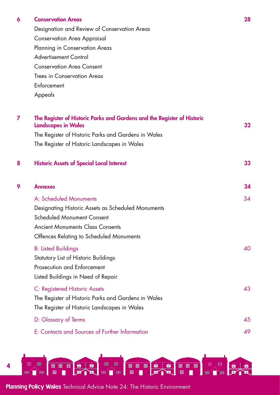#### 6 [Conservation Areas](#page-27-0) 28

Designation and Review of Conservation Areas [Conservation Area Appraisal](#page-27-1)  Planning in Conservation Areas [Advertisement Control](#page-28-0)  [Conservation Area Consent](#page-29-0) Trees in Conservation Areas **Enforcement** Appeals

| 7 | The Register of Historic Parks and Gardens and the Register of Historic<br><b>Landscapes in Wales</b> | 32 <sub>2</sub> |
|---|-------------------------------------------------------------------------------------------------------|-----------------|
|   | The Register of Historic Parks and Gardens in Wales                                                   |                 |
|   | The Register of Historic Landscapes in Wales                                                          |                 |
| 8 | <b>Historic Assets of Special Local Interest</b>                                                      | 33              |
| 9 | <b>Annexes</b>                                                                                        | 34              |
|   | A: Scheduled Monuments                                                                                | 34              |
|   | Designating Historic Assets as Scheduled Monuments                                                    |                 |
|   | <b>Scheduled Monument Consent</b>                                                                     |                 |
|   | <b>Ancient Monuments Class Consents</b>                                                               |                 |
|   | Offences Relating to Scheduled Monuments                                                              |                 |
|   | <b>B: Listed Buildings</b>                                                                            | 40              |
|   | Statutory List of Historic Buildings                                                                  |                 |
|   | <b>Prosecution and Enforcement</b>                                                                    |                 |
|   | Listed Buildings in Need of Repair                                                                    |                 |
|   | C: Registered Historic Assets                                                                         | 43              |
|   | The Register of Historic Parks and Gardens in Wales                                                   |                 |
|   | The Register of Historic Landscapes in Wales                                                          |                 |
|   | D: Glossary of Terms                                                                                  | 45              |
|   | E: Contacts and Sources of Further Information                                                        | 49              |

H **MONTHS** 曺 **ED ED ED OB 00 00** E. 4 **am DE Alli** E. l se ■ ↑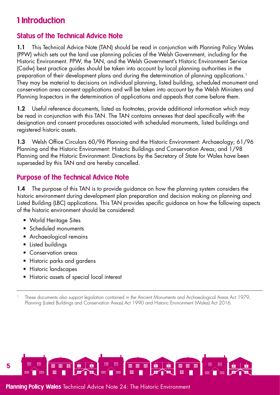# <span id="page-4-0"></span>1 Introduction

# Status of the Technical Advice Note

1.1 This Technical Advice Note (TAN) should be read in conjunction with Planning Policy Wales (PPW) which sets out the land use planning policies of the Welsh Government, including for the Historic Environment. PPW, the TAN, and the Welsh Government's Historic Environment Service (Cadw) best practice guides should be taken into account by local planning authorities in the preparation of their development plans and during the determination of planning applications.<sup>1</sup> They may be material to decisions on individual planning, listed building, scheduled monument and conservation area consent applications and will be taken into account by the Welsh Ministers and Planning Inspectors in the determination of applications and appeals that come before them.

1.2 Useful reference documents, listed as footnotes, provide additional information which may be read in conjunction with this TAN. The TAN contains annexes that deal specifically with the designation and consent procedures associated with scheduled monuments, listed buildings and registered historic assets.

1.3 Welsh Office Circulars 60/96 Planning and the Historic Environment: Archaeology; 61/96 Planning and the Historic Environment: Historic Buildings and Conservation Areas; and 1/98 Planning and the Historic Environment: Directions by the Secretary of State for Wales have been superseded by this TAN and are hereby cancelled.

# Purpose of the Technical Advice Note

1.4 The purpose of this TAN is to provide guidance on how the planning system considers the historic environment during development plan preparation and decision making on planning and Listed Building (LBC) applications. This TAN provides specific guidance on how the following aspects of the historic environment should be considered:

- World Heritage Sites
- Scheduled monuments
- Archaeological remains
- Listed buildings
- Conservation areas
- Historic parks and gardens
- Historic landscapes
- Historic assets of special local interest



<sup>1</sup> These documents also support legislation contained in the Ancient Monuments and Archaeological Areas Act 1979, Planning (Listed Buildings and Conservation Areas) Act 1990 and Historic Environment (Wales) Act 2016.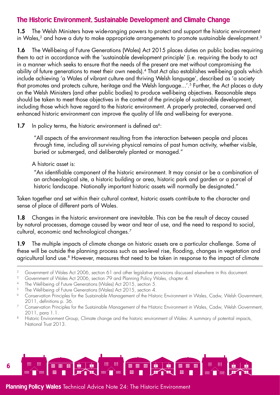## The Historic Environment, Sustainable Development and Climate Change

1.5 The Welsh Ministers have wide-ranging powers to protect and support the historic environment in Wales,<sup>2</sup> and have a duty to make appropriate arrangements to promote sustainable development.<sup>3</sup>

1.6 The Well-being of Future Generations (Wales) Act 2015 places duties on public bodies requiring them to act in accordance with the 'sustainable development principle' (i.e. requiring the body to act in a manner which seeks to ensure that the needs of the present are met without compromising the ability of future generations to meet their own needs).4 That Act also establishes well-being goals which include achieving 'a Wales of vibrant culture and thriving Welsh language', described as 'a society that promotes and protects culture, heritage and the Welsh language...'.5 Further, the Act places a duty on the Welsh Ministers (and other public bodies) to produce well-being objectives. Reasonable steps should be taken to meet those objectives in the context of the principle of sustainable development, including those which have regard to the historic environment. A properly protected, conserved and enhanced historic environment can improve the quality of life and well-being for everyone.

1.7 In policy terms, the historic environment is defined  $as<sup>6</sup>$ :

"All aspects of the environment resulting from the interaction between people and places through time, including all surviving physical remains of past human activity, whether visible, buried or submerged, and deliberately planted or managed."

A historic asset is:

"An identifiable component of the historic environment. It may consist or be a combination of an archaeological site, a historic building or area, historic park and garden or a parcel of historic landscape. Nationally important historic assets will normally be designated."

Taken together and set within their cultural context, historic assets contribute to the character and sense of place of different parts of Wales.

1.8 Changes in the historic environment are inevitable. This can be the result of decay caused by natural processes, damage caused by wear and tear of use, and the need to respond to social, cultural, economic and technological changes.7

1.9 The multiple impacts of climate change on historic assets are a particular challenge. Some of these will be outside the planning process such as sea-level rise, flooding, changes in vegetation and agricultural land use.<sup>8</sup> However, measures that need to be taken in response to the impact of climate



<sup>&</sup>lt;sup>2</sup> Government of Wales Act 2006, section 61 and other legislative provisions discussed elsewhere in this document.

<sup>&</sup>lt;sup>3</sup> Government of Wales Act 2006, section 79 and Planning Policy Wales, chapter 4.

<sup>&</sup>lt;sup>4</sup> The Well-being of Future Generations (Wales) Act 2015, section 5.<br><sup>5</sup> The Well-being of Future Generations (Wales) Act 2015, section 4.<br><sup>6</sup> Conservation Principles for the Sustainable Management of the History

<sup>6</sup> Conservation Principles for the Sustainable Management of the Historic Environment in Wales, Cadw, Welsh Government, 2011, definitions p. 36.

<sup>&</sup>lt;sup>7</sup> Conservation Principles for the Sustainable Management of the Historic Environment in Wales, Cadw, Welsh Government, 2011, para 1.1.

<sup>&</sup>lt;sup>8</sup> Historic Environment Group, Climate change and the historic environment of Wales: A summary of potential impacts, National Trust 2013.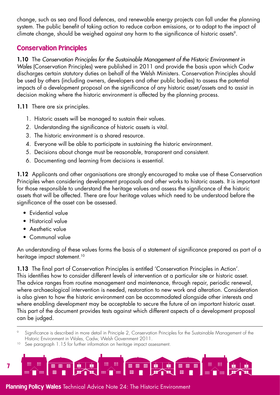change, such as sea and flood defences, and renewable energy projects can fall under the planning system. The public benefit of taking action to reduce carbon emissions, or to adapt to the impact of climate change, should be weighed against any harm to the significance of historic assets<sup>9</sup>.

# <span id="page-6-0"></span>Conservation Principles

1.10 The *Conservation Principles for the Sustainable Management of the Historic Environment in Wales* (Conservation Principles) were published in 2011 and provide the basis upon which Cadw discharges certain statutory duties on behalf of the Welsh Ministers. Conservation Principles should be used by others (including owners, developers and other public bodies) to assess the potential impacts of a development proposal on the significance of any historic asset/assets and to assist in decision making where the historic environment is affected by the planning process.

1.11 There are six principles.

- 1. Historic assets will be managed to sustain their values.
- 2. Understanding the significance of historic assets is vital.
- 3. The historic environment is a shared resource.
- 4. Everyone will be able to participate in sustaining the historic environment.
- 5. Decisions about change must be reasonable, transparent and consistent.
- 6. Documenting and learning from decisions is essential.

1.12 Applicants and other organisations are strongly encouraged to make use of these Conservation Principles when considering development proposals and other works to historic assets. It is important for those responsible to understand the heritage values and assess the significance of the historic assets that will be affected. There are four heritage values which need to be understood before the significance of the asset can be assessed.

- Evidential value
- Historical value
- Aesthetic value

7

• Communal value

An understanding of these values forms the basis of a statement of significance prepared as part of a heritage impact statement.<sup>10</sup>

1.13 The final part of Conservation Principles is entitled 'Conservation Principles in Action'. This identifies how to consider different levels of intervention at a particular site or historic asset. The advice ranges from routine management and maintenance, through repair, periodic renewal, where archaeological intervention is needed, restoration to new work and alteration. Consideration is also given to how the historic environment can be accommodated alongside other interests and where enabling development may be acceptable to secure the future of an important historic asset. This part of the document provides tests against which different aspects of a development proposal can be judged.

Significance is described in more detail in Principle 2, Conservation Principles for the Sustainable Management of the Historic Environment in Wales, Cadw, Welsh Government 2011.

See paragraph 1.15 for further information on heritage impact assessment.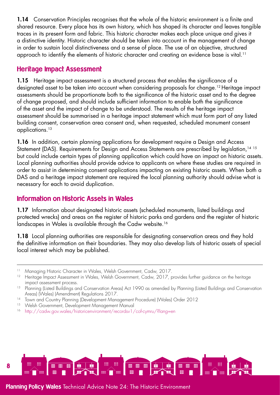1.14 Conservation Principles recognises that the whole of the historic environment is a finite and shared resource. Every place has its own history, which has shaped its character and leaves tangible traces in its present form and fabric. This historic character makes each place unique and gives it a distinctive identity. Historic character should be taken into account in the management of change in order to sustain local distinctiveness and a sense of place. The use of an objective, structured approach to identify the elements of historic character and creating an evidence base is vital.<sup>11</sup>

## Heritage Impact Assessment

1.15 Heritage impact assessment is a structured process that enables the significance of a designated asset to be taken into account when considering proposals for change.12 Heritage impact assessments should be proportionate both to the significance of the historic asset and to the degree of change proposed, and should include sufficient information to enable both the significance of the asset and the impact of change to be understood. The results of the heritage impact assessment should be summarised in a heritage impact statement which must form part of any listed building consent, conservation area consent and, when requested, scheduled monument consent applications.13

1.16 In addition, certain planning applications for development require a Design and Access Statement (DAS). Requirements for Design and Access Statements are prescribed by legislation,<sup>14 15</sup> but could include certain types of planning application which could have an impact on historic assets. Local planning authorities should provide advice to applicants on where these studies are required in order to assist in determining consent applications impacting on existing historic assets. When both a DAS and a heritage impact statement are required the local planning authority should advise what is necessary for each to avoid duplication.

# Information on Historic Assets in Wales

1.17 Information about designated historic assets (scheduled monuments, listed buildings and protected wrecks) and areas on the register of historic parks and gardens and the register of historic landscapes in Wales is available through the Cadw website.<sup>16</sup>

1.18 Local planning authorities are responsible for designating conservation areas and they hold the definitive information on their boundaries. They may also develop lists of historic assets of special local interest which may be published.

- <sup>15</sup> Welsh Government, Development Management Manual
- <sup>16</sup> <http://cadw.gov.wales/historicenvironment/recordsv1/cof-cymru/?lang=en>



<sup>&</sup>lt;sup>11</sup> Managing Historic Character in Wales, Welsh Government, Cadw, 2017.

<sup>&</sup>lt;sup>12</sup> Heritage Impact Assessment in Wales, Welsh Government, Cadw, 2017, provides further guidance on the heritage impact assessment process.

<sup>&</sup>lt;sup>13</sup> Planning (Listed Buildings and Conservation Areas) Act 1990 as amended by Planning (Listed Buildings and Conservation Areas) (Wales) (Amendment) Regulations 2017.

<sup>&</sup>lt;sup>14</sup> Town and Country Planning (Development Management Procedure) (Wales) Order 2012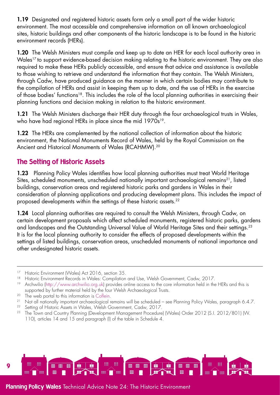1.19 Designated and registered historic assets form only a small part of the wider historic environment. The most accessible and comprehensive information on all known archaeological sites, historic buildings and other components of the historic landscape is to be found in the historic environment records (HERs).

1.20 The Welsh Ministers must compile and keep up to date an HER for each local authority area in Wales<sup>17</sup> to support evidence-based decision making relating to the historic environment. They are also required to make these HERs publicly accessible, and ensure that advice and assistance is available to those wishing to retrieve and understand the information that they contain. The Welsh Ministers, through Cadw, have produced guidance on the manner in which certain bodies may contribute to the compilation of HERs and assist in keeping them up to date, and the use of HERs in the exercise of those bodies' functions<sup>18</sup>. This includes the role of the local planning authorities in exercising their planning functions and decision making in relation to the historic environment.

1.21 The Welsh Ministers discharge their HER duty through the four archaeological trusts in Wales, who have had regional HERs in place since the mid 1970s<sup>19</sup>.

1.22 The HERs are complemented by the national collection of information about the historic environment, the National Monuments Record of Wales, held by the Royal Commission on the Ancient and Historical Monuments of Wales (RCAHMW).20

# The Setting of Historic Assets

1.23 Planning Policy Wales identifies how local planning authorities must treat World Heritage Sites, scheduled monuments, unscheduled nationally important archaeological remains<sup>21</sup>, listed buildings, conservation areas and registered historic parks and gardens in Wales in their consideration of planning applications and producing development plans. This includes the impact of proposed developments within the settings of these historic assets.22

1.24 Local planning authorities are required to consult the Welsh Ministers, through Cadw, on certain development proposals which affect scheduled monuments, registered historic parks, gardens and landscapes and the Outstanding Universal Value of World Heritage Sites and their settings.<sup>23</sup> It is for the local planning authority to consider the effects of proposed developments within the settings of listed buildings, conservation areas, unscheduled monuments of national importance and other undesignated historic assets.



<sup>&</sup>lt;sup>17</sup> Historic Environment (Wales) Act 2016, section 35.

<sup>&</sup>lt;sup>18</sup> Historic Environment Records in Wales: Compilation and Use, Welsh Government, Cadw, 2017.<br><sup>19</sup> Archwilio [\(http://www.archwilio.org.uk](http://www.archwilio.org.uk)) provides online access to the core information held in the HERs and this is supported by further material held by the four Welsh Archaeological Trusts.

<sup>&</sup>lt;sup>20</sup> The web portal to this information is [Coflein](http://www.coflein.gov.uk/).<br><sup>21</sup> Not all nationally important archaeological remains will be scheduled – see Planning Policy Wales, paragraph 6.4.7.

<sup>&</sup>lt;sup>22</sup> Setting of Historic Assets in Wales, Welsh Government, Cadw, 2017.

<sup>23</sup> The Town and Country Planning (Development Management Procedure) (Wales) Order 2012 (S.I. 2012/801) (W. 110), articles 14 and 15 and paragraph (l) of the table in Schedule 4.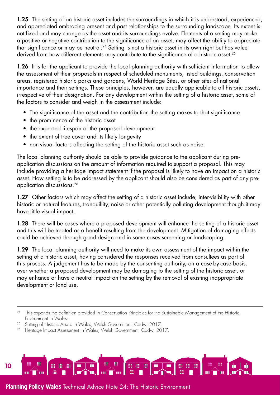1.25 The setting of an historic asset includes the surroundings in which it is understood, experienced, and appreciated embracing present and past relationships to the surrounding landscape. Its extent is not fixed and may change as the asset and its surroundings evolve. Elements of a setting may make a positive or negative contribution to the significance of an asset, may affect the ability to appreciate that significance or may be neutral.<sup>24</sup> Setting is not a historic asset in its own right but has value derived from how different elements may contribute to the significance of a historic asset.<sup>25</sup>

1.26 It is for the applicant to provide the local planning authority with sufficient information to allow the assessment of their proposals in respect of scheduled monuments, listed buildings, conservation areas, registered historic parks and gardens, World Heritage Sites, or other sites of national importance and their settings. These principles, however, are equally applicable to all historic assets, irrespective of their designation. For any development within the setting of a historic asset, some of the factors to consider and weigh in the assessment include:

- The significance of the asset and the contribution the setting makes to that significance
- the prominence of the historic asset
- the expected lifespan of the proposed development
- the extent of tree cover and its likely longevity
- non-visual factors affecting the setting of the historic asset such as noise.

The local planning authority should be able to provide guidance to the applicant during preapplication discussions on the amount of information required to support a proposal. This may include providing a heritage impact statement if the proposal is likely to have an impact on a historic asset. How setting is to be addressed by the applicant should also be considered as part of any preapplication discussions.26

1.27 Other factors which may affect the setting of a historic asset include; inter-visibility with other historic or natural features, tranquillity, noise or other potentially polluting development though it may have little visual impact.

1.28 There will be cases where a proposed development will enhance the setting of a historic asset and this will be treated as a benefit resulting from the development. Mitigation of damaging effects could be achieved through good design and in some cases screening or landscaping.

1.29 The local planning authority will need to make its own assessment of the impact within the setting of a historic asset, having considered the responses received from consultees as part of this process. A judgement has to be made by the consenting authority, on a case-by-case basis, over whether a proposed development may be damaging to the setting of the historic asset, or may enhance or have a neutral impact on the setting by the removal of existing inappropriate development or land use.

<sup>&</sup>lt;sup>26</sup> Heritage Impact Assessment in Wales, Welsh Government, Cadw, 2017.



<sup>&</sup>lt;sup>24</sup> This expands the definition provided in Conservation Principles for the Sustainable Management of the Historic Environment in Wales.

<sup>&</sup>lt;sup>25</sup> Setting of Historic Assets in Wales, Welsh Government, Cadw, 2017.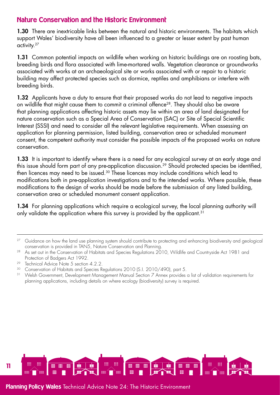## Nature Conservation and the Historic Environment

1.30 There are inextricable links between the natural and historic environments. The habitats which support Wales' biodiversity have all been influenced to a greater or lesser extent by past human activity.<sup>27</sup>

1.31 Common potential impacts on wildlife when working on historic buildings are on roosting bats, breeding birds and flora associated with lime-mortared walls. Vegetation clearance or groundworks associated with works at an archaeological site or works associated with or repair to a historic building may affect protected species such as dormice, reptiles and amphibians or interfere with breeding birds.

1.32 Applicants have a duty to ensure that their proposed works do not lead to negative impacts on wildlife that might cause them to commit a criminal offence<sup>28</sup>. They should also be aware that planning applications affecting historic assets may lie within an area of land designated for nature conservation such as a Special Area of Conservation (SAC) or Site of Special Scientific Interest (SSSI) and need to consider all the relevant legislative requirements. When assessing an application for planning permission, listed building, conservation area or scheduled monument consent, the competent authority must consider the possible impacts of the proposed works on nature conservation.

1.33 It is important to identify where there is a need for any ecological survey at an early stage and this issue should form part of any pre-application discussion.<sup>29</sup> Should protected species be identified, then licences may need to be issued.30 These licences may include conditions which lead to modifications both in pre-application investigations and to the intended works. Where possible, these modifications to the design of works should be made before the submission of any listed building, conservation area or scheduled monument consent application.

1.34 For planning applications which require a ecological survey, the local planning authority will only validate the application where this survey is provided by the applicant.<sup>31</sup>



<sup>&</sup>lt;sup>27</sup> Guidance on how the land use planning system should contribute to protecting and enhancing biodiversity and geological conservation is provided in TAN5, Nature Conservation and Planning.

<sup>&</sup>lt;sup>28</sup> As set out in the Conservation of Habitats and Species Regulations 2010, Wildlife and Countryside Act 1981 and Protection of Badgers Act 1992.

<sup>&</sup>lt;sup>29</sup> Technical Advice Note 5 section 4.2.2.

<sup>&</sup>lt;sup>30</sup> Conservation of Habitats and Species Regulations 2010 (S.I. 2010/490), part 5.

<sup>&</sup>lt;sup>31</sup> Welsh Government, Development Management Manual Section 7 Annex provides a list of validation requirements for planning applications, including details on where ecology (biodiversity) survey is required.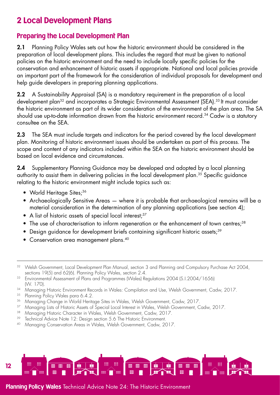# <span id="page-11-0"></span>2 Local Development Plans

## Preparing the Local Development Plan

2.1 Planning Policy Wales sets out how the historic environment should be considered in the preparation of local development plans. This includes the regard that must be given to national policies on the historic environment and the need to include locally specific policies for the conservation and enhancement of historic assets if appropriate. National and local policies provide an important part of the framework for the consideration of individual proposals for development and help guide developers in preparing planning applications.

2.2 A Sustainability Appraisal (SA) is a mandatory requirement in the preparation of a local development plan<sup>32</sup> and incorporates a Strategic Environmental Assessment (SEA).<sup>33</sup> It must consider the historic environment as part of its wider consideration of the environment of the plan area. The SA should use up-to-date information drawn from the historic environment record.<sup>34</sup> Cadw is a statutory consultee on the SEA.

2.3 The SEA must include targets and indicators for the period covered by the local development plan. Monitoring of historic environment issues should be undertaken as part of this process. The scope and content of any indicators included within the SEA on the historic environment should be based on local evidence and circumstances.

2.4 Supplementary Planning Guidance may be developed and adopted by a local planning authority to assist them in delivering policies in the local development plan.35 Specific guidance relating to the historic environment might include topics such as:

- World Heritage Sites:<sup>36</sup>
- Archaeologically Sensitive Areas where it is probable that archaeological remains will be a material consideration in the determination of any planning applications (see section 4);
- A list of historic assets of special local interest;<sup>37</sup>
- The use of characterisation to inform regeneration or the enhancement of town centres;<sup>38</sup>
- Design guidance for development briefs containing significant historic assets;<sup>39</sup>
- Conservation area management plans.<sup>40</sup>

- <sup>33</sup> Environmental Assessment of Plans and Programmes (Wales) Regulations 2004 (S.I.2004/1656) (W. 170).
- <sup>34</sup> Managing Historic Environment Records in Wales: Compilation and Use, Welsh Government, Cadw, 2017.<br><sup>35</sup> Planning Policy Wales para 6.4.2
- Planning Policy Wales para 6.4.2.
- <sup>36</sup> Managing Change in World Heritage Sites in Wales, Welsh Government, Cadw, 2017.
- <sup>37</sup> Managing Lists of Historic Assets of Special Local Interest in Wales, Welsh Government, Cadw, 2017.
- <sup>38</sup> Managing Historic Character in Wales, Welsh Government, Cadw, 2017.
- <sup>39</sup> Technical Advice Note 12: Design section 5.6 The Historic Environment.
- <sup>40</sup> Managing Conservation Areas in Wales, Welsh Government, Cadw, 2017.



<sup>&</sup>lt;sup>32</sup> Welsh Government, Local Development Plan Manual, section 3 and Planning and Compulsory Purchase Act 2004, sections 19(5) and 62(6). Planning Policy Wales, section 2.4.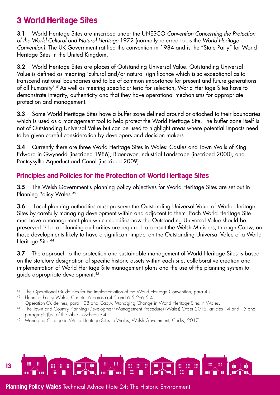# <span id="page-12-0"></span>3 World Heritage Sites

3.1 World Heritage Sites are inscribed under the UNESCO *Convention Concerning the Protection of the World Cultural and Natural Heritage* 1972 (normally referred to as the *World Heritage Convention)*. The UK Government ratified the convention in 1984 and is the "State Party" for World Heritage Sites in the United Kingdom.

3.2 World Heritage Sites are places of Outstanding Universal Value. Outstanding Universal Value is defined as meaning 'cultural and/or natural significance which is so exceptional as to transcend national boundaries and to be of common importance for present and future generations of all humanity'.41As well as meeting specific criteria for selection, World Heritage Sites have to demonstrate integrity, authenticity and that they have operational mechanisms for appropriate protection and management.

3.3 Some World Heritage Sites have a buffer zone defined around or attached to their boundaries which is used as a management tool to help protect the World Heritage Site. The buffer zone itself is not of Outstanding Universal Value but can be used to highlight areas where potential impacts need to be given careful consideration by developers and decision makers.

3.4 Currently there are three World Heritage Sites in Wales: Castles and Town Walls of King Edward in Gwynedd (inscribed 1986), Blaenavon Industrial Landscape (inscribed 2000), and Pontcysyllte Aqueduct and Canal (inscribed 2009).

# Principles and Policies for the Protection of World Heritage Sites

3.5 The Welsh Government's planning policy objectives for World Heritage Sites are set out in Planning Policy Wales.42

3.6 Local planning authorities must preserve the Outstanding Universal Value of World Heritage Sites by carefully managing development within and adjacent to them. Each World Heritage Site must have a management plan which specifies how the Outstanding Universal Value should be preserved.43 Local planning authorities are required to consult the Welsh Ministers, through Cadw, on those developments likely to have a significant impact on the Outstanding Universal Value of a World Heritage Site.<sup>44</sup>

**3.7** The approach to the protection and sustainable management of World Heritage Sites is based on the statutory designation of specific historic assets within each site, collaborative creation and implementation of World Heritage Site management plans and the use of the planning system to guide appropriate development.45



<sup>41</sup> The Operational Guidelines for the Implementation of the World Heritage Convention, para 49.

<sup>42</sup> Planning Policy Wales, Chapter 6 paras 6.4.5 and 6.5.2–6.5.4.

<sup>43</sup> Operation Guidelines, para 108 and Cadw, Managing Change in World Heritage Sites in Wales.

<sup>44</sup> The Town and Country Planning (Development Management Procedure) (Wales) Order 2016, articles 14 and 15 and paragraph (l)(v) of the table in Schedule 4.

<sup>45</sup> Managing Change in World Heritage Sites in Wales, Welsh Government, Cadw, 2017.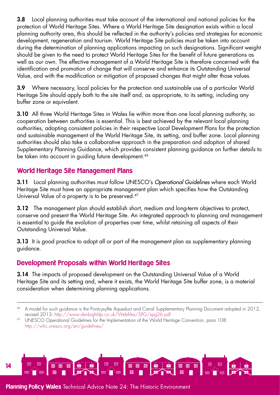3.8 Local planning authorities must take account of the international and national policies for the protection of World Heritage Sites. Where a World Heritage Site designation exists within a local planning authority area, this should be reflected in the authority's policies and strategies for economic development, regeneration and tourism. World Heritage Site policies must be taken into account during the determination of planning applications impacting on such designations. Significant weight should be given to the need to protect World Heritage Sites for the benefit of future generations as well as our own. The effective management of a World Heritage Site is therefore concerned with the identification and promotion of change that will conserve and enhance its Outstanding Universal Value, and with the modification or mitigation of proposed changes that might alter those values.

3.9 Where necessary, local policies for the protection and sustainable use of a particular World Heritage Site should apply both to the site itself and, as appropriate, to its setting, including any buffer zone or equivalent.

3.10 All three World Heritage Sites in Wales lie within more than one local planning authority, so cooperation between authorities is essential. This is best achieved by the relevant local planning authorities, adopting consistent policies in their respective Local Development Plans for the protection and sustainable management of the World Heritage Site, its setting, and buffer zone. Local planning authorities should also take a collaborative approach in the preparation and adoption of shared Supplementary Planning Guidance, which provides consistent planning guidance on further details to be taken into account in guiding future development.<sup>46</sup>

# World Heritage Site Management Plans

3.11 Local planning authorities must follow UNESCO's *Operational Guidelines* where each World Heritage Site must have an appropriate management plan which specifies how the Outstanding Universal Value of a property is to be preserved.47

3.12 The management plan should establish short, medium and long-term objectives to protect, conserve and present the World Heritage Site. An integrated approach to planning and management is essential to guide the evolution of properties over time, whilst retaining all aspects of their Outstanding Universal Value.

**3.13** It is good practice to adopt all or part of the management plan as supplementary planning guidance.

# Development Proposals within World Heritage Sites

3.14 The impacts of proposed development on the Outstanding Universal Value of a World Heritage Site and its setting and, where it exists, the World Heritage Site buffer zone, is a material consideration when determining planning applications.



<sup>46</sup> A model for such guidance is the Pontcysyllte Aqueduct and Canal Supplementary Planning Document adopted in 2012, revised 2013:<http://www.denbighldp.co.uk/Webfiles/SPG/spg26.pdf>

<sup>47</sup> UNESCO Operational Guidelines for the Implementation of the World Heritage Convention, para 108: http://whc.unesco.org/en/guidelines/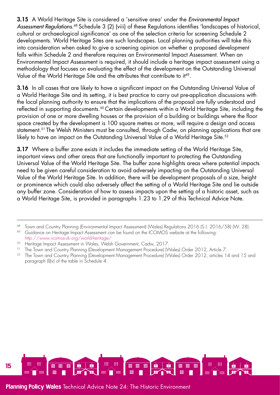3.15 A World Heritage Site is considered a 'sensitive area' under the *Environmental Impact Assessment Regulations*. <sup>48</sup> Schedule 3 (2) (viii) of these Regulations identifies 'landscapes of historical, cultural or archaeological significance' as one of the selection criteria for screening Schedule 2 developments. World Heritage Sites are such landscapes. Local planning authorities will take this into consideration when asked to give a screening opinion on whether a proposed development falls within Schedule 2 and therefore requires an Environmental Impact Assessment. When an Environmental Impact Assessment is required, it should include a heritage impact assessment using a methodology that focuses on evaluating the effect of the development on the Outstanding Universal Value of the World Heritage Site and the attributes that contribute to it<sup>49</sup>.

**3.16** In all cases that are likely to have a significant impact on the Outstanding Universal Value of a World Heritage Site and its setting, it is best practice to carry out pre-application discussions with the local planning authority to ensure that the implications of the proposal are fully understood and reflected in supporting documents.50 Certain developments within a World Heritage Site, including the provision of one or more dwelling houses or the provision of a building or buildings where the floor space created by the development is 100 square metres or more, will require a design and access statement.<sup>51</sup> The Welsh Ministers must be consulted, through Cadw, on planning applications that are likely to have an impact on the Outstanding Universal Value of a World Heritage Site.<sup>52</sup>

**3.17** Where a buffer zone exists it includes the immediate setting of the World Heritage Site, important views and other areas that are functionally important to protecting the Outstanding Universal Value of the World Heritage Site. The buffer zone highlights areas where potential impacts need to be given careful consideration to avoid adversely impacting on the Outstanding Universal Value of the World Heritage Site. In addition, there will be development proposals of a size, height or prominence which could also adversely affect the setting of a World Heritage Site and lie outside any buffer zone. Consideration of how to assess impacts upon the setting of a historic asset, such as a World Heritage Site, is provided in paragraphs 1.23 to 1.29 of this Technical Advice Note.



<sup>48</sup> Town and Country Planning (Environmental Impact Assessment) (Wales) Regulations 2016 (S.I. 2016/58) (W. 28). <sup>49</sup> Guidance on Heritage Impact Assessment can be found on the ICOMOS website at the following:

<http://www.icomos-uk.org/world-heritage/>

 $^{50}$  Heritage Impact Assessment in Wales, Welsh Government, Cadw, 2017.

<sup>51</sup> The Town and Country Planning (Development Management Procedure) (Wales) Order 2012, Article 7.

<sup>52</sup> The Town and Country Planning (Development Management Procedure) (Wales) Order 2012, articles 14 and 15 and paragraph (l)(v) of the table in Schedule 4.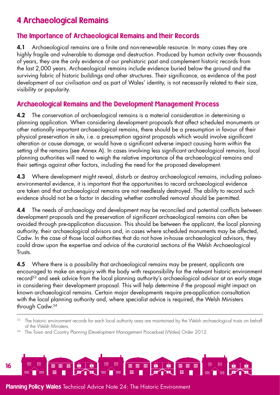# <span id="page-15-0"></span>4 Archaeological Remains

## The Importance of Archaeological Remains and their Records

4.1 Archaeological remains are a finite and non-renewable resource. In many cases they are highly fragile and vulnerable to damage and destruction. Produced by human activity over thousands of years, they are the only evidence of our prehistoric past and complement historic records from the last 2,000 years. Archaeological remains include evidence buried below the ground and the surviving fabric of historic buildings and other structures. Their significance, as evidence of the past development of our civilisation and as part of Wales' identity, is not necessarily related to their size, visibility or popularity.

## Archaeological Remains and the Development Management Process

4.2 The conservation of archaeological remains is a material consideration in determining a planning application. When considering development proposals that affect scheduled monuments or other nationally important archaeological remains, there should be a presumption in favour of their physical preservation *in situ*, i.e. a presumption against proposals which would involve significant alteration or cause damage, or would have a significant adverse impact causing harm within the setting of the remains (see Annex A). In cases involving less significant archaeological remains, local planning authorities will need to weigh the relative importance of the archaeological remains and their settings against other factors, including the need for the proposed development.

4.3 Where development might reveal, disturb or destroy archaeological remains, including palaeoenvironmental evidence, it is important that the opportunities to record archaeological evidence are taken and that archaeological remains are not needlessly destroyed. The ability to record such evidence should not be a factor in deciding whether controlled removal should be permitted.

**4.4** The needs of archaeology and development may be reconciled and potential conflicts between development proposals and the preservation of significant archaeological remains can often be avoided through pre-application discussion. This should be between the applicant, the local planning authority, their archaeological advisors and, in cases where scheduled monuments may be affected, Cadw. In the case of those local authorities that do not have in-house archaeological advisors, they could draw upon the expertise and advice of the curatorial sections of the Welsh Archaeological Trusts.

4.5 Where there is a possibility that archaeological remains may be present, applicants are encouraged to make an enquiry with the body with responsibility for the relevant historic environment record<sup>53</sup> and seek advice from the local planning authority's archaeological advisor at an early stage in considering their development proposal. This will help determine if the proposal might impact on known archaeological remains. Certain major developments require pre-application consultation with the local planning authority and, where specialist advice is required, the Welsh Ministers through Cadw.54

The Town and Country Planning (Development Management Procedure) (Wales) Order 2012.



The historic environment records for each local authority area are maintained by the Welsh archaeological trusts on behalf of the Welsh Ministers.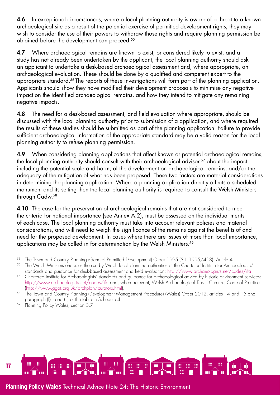**4.6** In exceptional circumstances, where a local planning authority is aware of a threat to a known archaeological site as a result of the potential exercise of permitted development rights, they may wish to consider the use of their powers to withdraw those rights and require planning permission be obtained before the development can proceed.55

**4.7** Where archaeological remains are known to exist, or considered likely to exist, and a study has not already been undertaken by the applicant, the local planning authority should ask an applicant to undertake a desk-based archaeological assessment and, where appropriate, an archaeological evaluation. These should be done by a qualified and competent expert to the appropriate standard.56 The reports of these investigations will form part of the planning application. Applicants should show they have modified their development proposals to minimise any negative impact on the identified archaeological remains, and how they intend to mitigate any remaining negative impacts.

4.8 The need for a desk-based assessment, and field evaluation where appropriate, should be discussed with the local planning authority prior to submission of a application, and where required the results of these studies should be submitted as part of the planning application. Failure to provide sufficient archaeological information of the appropriate standard may be a valid reason for the local planning authority to refuse planning permission.

4.9 When considering planning applications that affect known or potential archaeological remains, the local planning authority should consult with their archaeological advisor,<sup>57</sup> about the impact, including the potential scale and harm, of the development on archaeological remains, and/or the adequacy of the mitigation of what has been proposed. These two factors are material considerations in determining the planning application. Where a planning application directly affects a scheduled monument and its setting then the local planning authority is required to consult the Welsh Ministers through Cadw.58

4.10 The case for the preservation of archaeological remains that are not considered to meet the criteria for national importance (see Annex A.2), must be assessed on the individual merits of each case. The local planning authority must take into account relevant policies and material considerations, and will need to weigh the significance of the remains against the benefits of and need for the proposed development. In cases where there are issues of more than local importance, applications may be called in for determination by the Welsh Ministers.<sup>59</sup>



<sup>55</sup> The Town and Country Planning (General Permitted Development) Order 1995 (S.I. 1995/418), Article 4.

<sup>&</sup>lt;sup>56</sup> The Welsh Ministers endorses the use by Welsh local planning authorities of the Chartered Institute for Archaeologists' standards and guidance for desk-based assessment and field evaluation:<http://www.archaeologists.net/codes/ifa>

<sup>57</sup> Chartered Institute for Archaeologists' standards and guidance for archaeological advice by historic environment services: <http://www.archaeologists.net/codes/ifa>and, where relevant, Welsh Archaeological Trusts' Curators Code of Practice [\(http://www.ggat.org.uk/archplan/curators.html](http://www.ggat.org.uk/archplan/curators.html)).

<sup>58</sup> The Town and Country Planning (Development Management Procedure) (Wales) Order 2012, articles 14 and 15 and paragraph (l)(i) and (ii) of the table in Schedule 4.

<sup>&</sup>lt;sup>59</sup> Planning Policy Wales, section 3.7.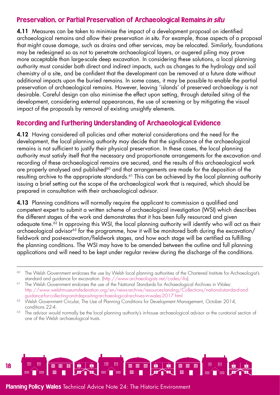## Preservation, or Partial Preservation of Archaeological Remains in situ

4.11 Measures can be taken to minimise the impact of a development proposal on identified archaeological remains and allow their preservation *in situ*. For example, those aspects of a proposal that might cause damage, such as drains and other services, may be relocated. Similarly, foundations may be redesigned so as not to penetrate archaeological layers, or augered piling may prove more acceptable than large-scale deep excavation. In considering these solutions, a local planning authority must consider both direct and indirect impacts, such as changes to the hydrology and soil chemistry of a site, and be confident that the development can be removed at a future date without additional impacts upon the buried remains. In some cases, it may be possible to enable the partial preservation of archaeological remains. However, leaving 'islands' of preserved archaeology is not desirable. Careful design can also minimise the effect upon setting, through detailed siting of the development, considering external appearances, the use of screening or by mitigating the visual impact of the proposals by removal of existing unsightly elements.

## Recording and Furthering Understanding of Archaeological Evidence

4.12 Having considered all policies and other material considerations and the need for the development, the local planning authority may decide that the significance of the archaeological remains is not sufficient to justify their physical preservation. In these cases, the local planning authority must satisfy itself that the necessary and proportionate arrangements for the excavation and recording of these archaeological remains are secured, and the results of this archaeological work are properly analysed and published<sup>60</sup> and that arrangements are made for the deposition of the resulting archive to the appropriate standards.<sup>61</sup> This can be achieved by the local planning authority issuing a brief setting out the scope of the archaeological work that is required, which should be prepared in consultation with their archaeological advisor.

4.13 Planning conditions will normally require the applicant to commission a qualified and competent expert to submit a written scheme of archaeological investigation (WSI) which describes the different stages of the work and demonstrates that it has been fully resourced and given adequate time.<sup>62</sup> In approving this WSI, the local planning authority will identify who will act as their archaeological advisor<sup>63</sup> for the programme, how it will be monitored both during the excavation/ fieldwork and post-excavation/fieldwork stages, and how each stage will be certified as fulfilling the planning conditions. The WSI may have to be amended between the outline and full planning applications and will need to be kept under regular review during the discharge of the conditions.



<sup>&</sup>lt;sup>60</sup> The Welsh Government endorses the use by Welsh local planning authorities of the Chartered Institute for Archaeologist's standard and guidance for excavation. ([http://www.archaeologists.net/codes/ifa\)](http://www.archaeologists.net/codes/ifa).

<sup>&</sup>lt;sup>61</sup> The Welsh Government endorses the use of the National Standards for Archaeological Archives in Wales: [http://www.welshmuseumsfederation.org/en/news-archive/resources-landing/Collections/national-standard-and](http://www.welshmuseumsfederation.org/en/news-archive/resources-landing/Collections/national-standard-and-guidance-for-collecting-and-depositing-archaeological-archives-in-wales-2017.html)[guidance-for-collecting-and-depositing-archaeological-archives-in-wales-2017.html](http://www.welshmuseumsfederation.org/en/news-archive/resources-landing/Collections/national-standard-and-guidance-for-collecting-and-depositing-archaeological-archives-in-wales-2017.html)

<sup>&</sup>lt;sup>62</sup> Welsh Government Circular, The Use of Planning Conditions for Development Management, October 2014, conditions 22-4.

<sup>&</sup>lt;sup>63</sup> The advisor would normally be the local planning authority's in-house archaeological advisor or the curatorial section of one of the Welsh archaeological trusts.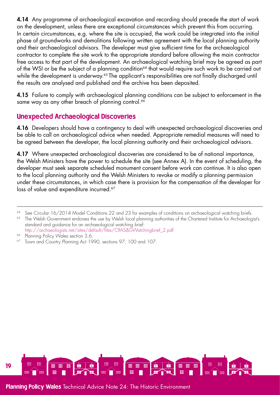4.14 Any programme of archaeological excavation and recording should precede the start of work on the development, unless there are exceptional circumstances which prevent this from occurring. In certain circumstances, e.g. where the site is occupied, the work could be integrated into the initial phase of groundworks and demolitions following written agreement with the local planning authority and their archaeological advisors. The developer must give sufficient time for the archaeological contractor to complete the site work to the appropriate standard before allowing the main contractor free access to that part of the development. An archaeological watching brief may be agreed as part of the WSI or be the subject of a planning condition<sup>64</sup> that would require such work to be carried out while the development is underway.<sup>65</sup> The applicant's responsibilities are not finally discharged until the results are analysed and published and the archive has been deposited.

4.15 Failure to comply with archaeological planning conditions can be subject to enforcement in the same way as any other breach of planning control.<sup>66</sup>

# Unexpected Archaeological Discoveries

4.16 Developers should have a contingency to deal with unexpected archaeological discoveries and be able to call on archaeological advice when needed. Appropriate remedial measures will need to be agreed between the developer, the local planning authority and their archaeological advisors.

4.17 Where unexpected archaeological discoveries are considered to be of national importance, the Welsh Ministers have the power to schedule the site (see Annex A). In the event of scheduling, the developer must seek separate scheduled monument consent before work can continue. It is also open to the local planning authority and the Welsh Ministers to revoke or modify a planning permission under these circumstances, in which case there is provision for the compensation of the developer for loss of value and expenditure incurred.<sup>67</sup>



<sup>&</sup>lt;sup>64</sup> See Circular 16/2014 Model Conditions 22 and 23 for examples of conditions on archaeological watching briefs.

<sup>&</sup>lt;sup>65</sup> The Welsh Government endorses the use by Welsh local planning authorities of the Chartered Institute for Archaeologist's standard and guidance for an archaeological watching brief:

[http://archaeologists.net/sites/default/files/CIfAS&GWatchingbrief\\_2.pdf](http://archaeologists.net/sites/default/files/CIfAS&GWatchingbrief_2.pdf) <sup>66</sup> Planning Policy Wales section 3.6.

<sup>&</sup>lt;sup>67</sup> Town and Country Planning Act 1990, sections 97, 100 and 107.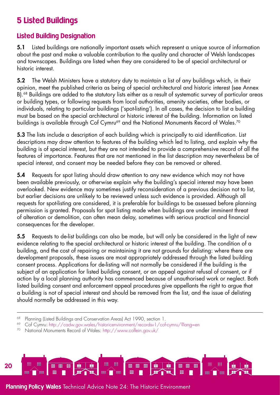# <span id="page-19-0"></span>5 Listed Buildings

# Listed Building Designation

5.1 Listed buildings are nationally important assets which represent a unique source of information about the past and make a valuable contribution to the quality and character of Welsh landscapes and townscapes. Buildings are listed when they are considered to be of special architectural or historic interest.

5.2 The Welsh Ministers have a statutory duty to maintain a list of any buildings which, in their opinion, meet the published criteria as being of special architectural and historic interest (see Annex B).<sup>68</sup> Buildings are added to the statutory lists either as a result of systematic survey of particular areas or building types, or following requests from local authorities, amenity societies, other bodies, or individuals, relating to particular buildings ('spot-listing'). In all cases, the decision to list a building must be based on the special architectural or historic interest of the building. Information on listed buildings is available through Cof Cymru<sup>69</sup> and the National Monuments Record of Wales.<sup>70</sup>

5.3 The lists include a description of each building which is principally to aid identification. List descriptions may draw attention to features of the building which led to listing, and explain why the building is of special interest, but they are not intended to provide a comprehensive record of all the features of importance. Features that are not mentioned in the list description may nevertheless be of special interest, and consent may be needed before they can be removed or altered.

5.4 Requests for spot listing should draw attention to any new evidence which may not have been available previously, or otherwise explain why the building's special interest may have been overlooked. New evidence may sometimes justify reconsideration of a previous decision not to list, but earlier decisions are unlikely to be reviewed unless such evidence is provided. Although all requests for spot-listing are considered, it is preferable for buildings to be assessed before planning permission is granted. Proposals for spot listing made when buildings are under imminent threat of alteration or demolition, can often mean delay, sometimes with serious practical and financial consequences for the developer.

5.5 Requests to de-list buildings can also be made, but will only be considered in the light of new evidence relating to the special architectural or historic interest of the building. The condition of a building, and the cost of repairing or maintaining it are not grounds for delisting: where there are development proposals, these issues are most appropriately addressed through the listed building consent process. Applications for de-listing will not normally be considered if the building is the subject of an application for listed building consent, or an appeal against refusal of consent, or if action by a local planning authority has commenced because of unauthorised work or neglect. Both listed building consent and enforcement appeal procedures give appellants the right to argue that a building is not of special interest and should be removed from the list, and the issue of delisting should normally be addressed in this way.

<sup>70</sup> National Monuments Record of Wales: <http://www.coflein.gov.uk/>



<sup>&</sup>lt;sup>68</sup> Planning (Listed Buildings and Conservation Areas) Act 1990, section 1.

<sup>69</sup> Cof Cymru:<http://cadw.gov.wales/historicenvironment/recordsv1/cof-cymru/?lang=en>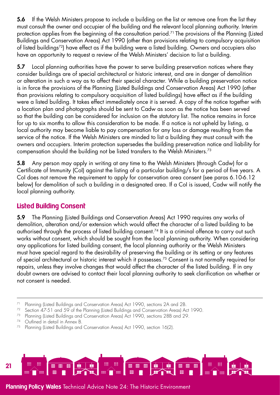5.6 If the Welsh Ministers propose to include a building on the list or remove one from the list they must consult the owner and occupier of the building and the relevant local planning authority. Interim protection applies from the beginning of the consultation period.<sup>71</sup> The provisions of the Planning (Listed Buildings and Conservation Areas) Act 1990 (other than provisions relating to compulsory acquisition of listed buildings72) have effect as if the building were a listed building. Owners and occupiers also have an opportunity to request a review of the Welsh Ministers' decision to list a building.

5.7 Local planning authorities have the power to serve building preservation notices where they consider buildings are of special architectural or historic interest, and are in danger of demolition or alteration in such a way as to affect their special character. While a building preservation notice is in force the provisions of the Planning (Listed Buildings and Conservation Areas) Act 1990 (other than provisions relating to compulsory acquisition of listed buildings) have effect as if the building were a listed building. It takes effect immediately once it is served. A copy of the notice together with a location plan and photographs should be sent to Cadw as soon as the notice has been served so that the building can be considered for inclusion on the statutory list. The notice remains in force for up to six months to allow this consideration to be made. If a notice is not upheld by listing, a local authority may become liable to pay compensation for any loss or damage resulting from the service of the notice. If the Welsh Ministers are minded to list a building they must consult with the owners and occupiers. Interim protection supersedes the building preservation notice and liability for compensation should the building not be listed transfers to the Welsh Ministers.73

5.8 Any person may apply in writing at any time to the Welsh Ministers (through Cadw) for a Certificate of Immunity (CoI) against the listing of a particular building/s for a period of five years. A CoI does not remove the requirement to apply for conservation area consent (see paras 6.10-6.12 below) for demolition of such a building in a designated area. If a CoI is issued, Cadw will notify the local planning authority.

# Listed Building Consent

5.9 The Planning (Listed Buildings and Conservation Areas) Act 1990 requires any works of demolition, alteration and/or extension which would affect the character of a listed building to be authorised through the process of listed building consent.<sup>74</sup> It is a criminal offence to carry out such works without consent, which should be sought from the local planning authority. When considering any applications for listed building consent, the local planning authority or the Welsh Ministers must have special regard to the desirability of preserving the building or its setting or any features of special architectural or historic interest which it possesses.75 Consent is not normally required for repairs, unless they involve changes that would affect the character of the listed building. If in any doubt owners are advised to contact their local planning authority to seek clarification on whether or not consent is needed.



<sup>71</sup> Planning (Listed Buildings and Conservation Areas) Act 1990, sections 2A and 2B.

<sup>72</sup> Section 47-51 and 59 of the Planning (Listed Buildings and Conservation Areas) Act 1990.

<sup>73</sup> Planning (Listed Buildings and Conservation Areas) Act 1990, sections 28B and 29.

<sup>74</sup> Outlined in detail in Annex B.

<sup>75</sup> Planning (Listed Buildings and Conservation Areas) Act 1990, section 16(2).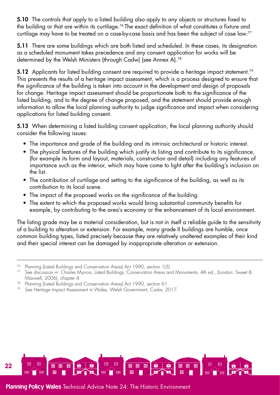5.10 The controls that apply to a listed building also apply to any objects or structures fixed to the building or that are within its curtilage.76 The exact definition of what constitutes a fixture and curtilage may have to be treated on a case-by-case basis and has been the subject of case law.77

5.11 There are some buildings which are both listed and scheduled. In these cases, its designation as a scheduled monument takes precedence and any consent application for works will be determined by the Welsh Ministers (through Cadw) (see Annex A).<sup>78</sup>

5.12 Applicants for listed building consent are required to provide a heritage impact statement.<sup>79</sup> This presents the results of a heritage impact assessment, which is a process designed to ensure that the significance of the building is taken into account in the development and design of proposals for change. Heritage impact assessment should be proportionate both to the significance of the listed building, and to the degree of change proposed, and the statement should provide enough information to allow the local planning authority to judge significance and impact when considering applications for listed building consent.

5.13 When determining a listed building consent application, the local planning authority should consider the following issues:

- The importance and grade of the building and its intrinsic architectural or historic interest.
- The physical features of the building which justify its listing and contribute to its significance, (for example its form and layout, materials, construction and detail) including any features of importance such as the interior, which may have come to light after the building's inclusion on the list.
- The contribution of curtilage and setting to the significance of the building, as well as its contribution to its local scene.
- The impact of the proposed works on the significance of the building.
- The extent to which the proposed works would bring substantial community benefits for example, by contributing to the area's economy or the enhancement of its local environment.

The listing grade may be a material consideration, but is not in itself a reliable guide to the sensitivity of a building to alteration or extension. For example, many grade II buildings are humble, once common building types, listed precisely because they are relatively unaltered examples of their kind and their special interest can be damaged by inappropriate alteration or extension.



<sup>76</sup> Planning (Listed Buildings and Conservation Areas) Act 1990, section 1(5).

<sup>77</sup> See discussion in: Charles Mynors, Listed Buildings, Conservation Areas and Monuments, 4th ed., (London: Sweet & Maxwell, 2006), chapter 4.

Planning (Listed Buildings and Conservation Areas) Act 1990, section 61.

<sup>&</sup>lt;sup>79</sup> See Heritage Impact Assessment in Wales, Welsh Government, Cadw, 2017.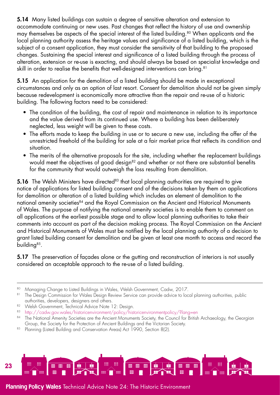5.14 Many listed buildings can sustain a degree of sensitive alteration and extension to accommodate continuing or new uses. Past changes that reflect the history of use and ownership may themselves be aspects of the special interest of the listed building.<sup>80</sup> When applicants and the local planning authority assess the heritage values and significance of a listed building, which is the subject of a consent application, they must consider the sensitivity of that building to the proposed changes. Sustaining the special interest and significance of a listed building through the process of alteration, extension or re-use is exacting, and should always be based on specialist knowledge and skill in order to realise the benefits that well-designed interventions can bring.<sup>81</sup>

5.15 An application for the demolition of a listed building should be made in exceptional circumstances and only as an option of last resort. Consent for demolition should not be given simply because redevelopment is economically more attractive than the repair and re-use of a historic building. The following factors need to be considered:

- The condition of the building, the cost of repair and maintenance in relation to its importance and the value derived from its continued use. Where a building has been deliberately neglected, less weight will be given to these costs.
- The efforts made to keep the building in use or to secure a new use, including the offer of the unrestricted freehold of the building for sale at a fair market price that reflects its condition and situation.
- The merits of the alternative proposals for the site, including whether the replacement buildings would meet the objectives of good design<sup>82</sup> and whether or not there are substantial benefits for the community that would outweigh the loss resulting from demolition.

5.16 The Welsh Ministers have directed<sup>83</sup> that local planning authorities are required to give notice of applications for listed building consent and of the decisions taken by them on applications for demolition or alteration of a listed building which includes an element of demolition to the national amenity societies<sup>84</sup> and the Royal Commission on the Ancient and Historical Monuments of Wales. The purpose of notifying the national amenity societies is to enable them to comment on all applications at the earliest possible stage and to allow local planning authorities to take their comments into account as part of the decision making process. The Royal Commission on the Ancient and Historical Monuments of Wales must be notified by the local planning authority of a decision to grant listed building consent for demolition and be given at least one month to access and record the building<sup>85</sup>.

**5.17** The preservation of façades alone or the gutting and reconstruction of interiors is not usually considered an acceptable approach to the re-use of a listed building.

<sup>80</sup> Managing Change to Listed Buildings in Wales, Welsh Government, Cadw, 2017.

<sup>81</sup> The Design Commission for Wales Design Review Service can provide advice to local planning authorities, public authorities, developers, designers and others.

<sup>82</sup> Welsh Government, Technical Advice Note 12: Desian.

<sup>83</sup> <http://cadw.gov.wales/historicenvironment/policy/historicenvironmentpolicy/?lang=en>

<sup>84</sup> The National Amenity Societies are the Ancient Monuments Society, the Council for British Archaeology, the Georgian Group, the Society for the Protection of Ancient Buildings and the Victorian Society.

<sup>85</sup> Planning (Listed Building and Conservation Areas) Act 1990, Section 8(2).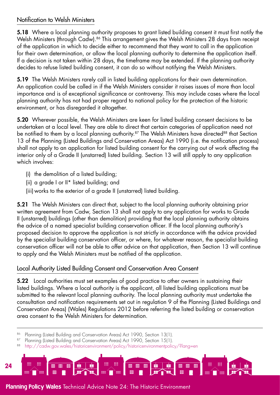#### Notification to Welsh Ministers

5.18 Where a local planning authority proposes to grant listed building consent it must first notify the Welsh Ministers (through Cadw).<sup>86</sup> This arrangement gives the Welsh Ministers 28 days from receipt of the application in which to decide either to recommend that they want to call in the application for their own determination, or allow the local planning authority to determine the application itself. If a decision is not taken within 28 days, the timeframe may be extended. If the planning authority decides to refuse listed building consent, it can do so without notifying the Welsh Ministers.

5.19 The Welsh Ministers rarely call in listed building applications for their own determination. An application could be called in if the Welsh Ministers consider it raises issues of more than local importance and is of exceptional significance or controversy. This may include cases where the local planning authority has not had proper regard to national policy for the protection of the historic environment, or has disregarded it altogether.

5.20 Wherever possible, the Welsh Ministers are keen for listed building consent decisions to be undertaken at a local level. They are able to direct that certain categories of application need not be notified to them by a local planning authority.<sup>87</sup> The Welsh Ministers have directed<sup>88</sup> that Section 13 of the Planning (Listed Buildings and Conservation Areas) Act 1990 (i.e. the notification process) shall not apply to an application for listed building consent for the carrying out of work affecting the interior only of a Grade II (unstarred) listed building. Section 13 will still apply to any application which involves:

- (i) the demolition of a listed building;
- (ii) a grade I or II\* listed building; and
- (iii) works to the exterior of a grade II (unstarred) listed building.

5.21 The Welsh Ministers can direct that, subject to the local planning authority obtaining prior written agreement from Cadw, Section 13 shall not apply to any application for works to Grade II (unstarred) buildings (other than demolition) providing that the local planning authority obtains the advice of a named specialist building conservation officer. If the local planning authority's proposed decision to approve the application is not strictly in accordance with the advice provided by the specialist building conservation officer, or where, for whatever reason, the specialist building conservation officer will not be able to offer advice on that application, then Section 13 will continue to apply and the Welsh Ministers must be notified of the application.

# Local Authority Listed Building Consent and Conservation Area Consent

5.22 Local authorities must set examples of good practice to other owners in sustaining their listed buildings. Where a local authority is the applicant, all listed building applications must be submitted to the relevant local planning authority. The local planning authority must undertake the consultation and notification requirements set out in regulation 9 of the Planning (Listed Buildings and Conservation Areas) (Wales) Regulations 2012 before referring the listed building or conservation area consent to the Welsh Ministers for determination.

- 86 Planning (Listed Building and Conservation Areas) Act 1990, Section 13(1).
- 87 Planning (Listed Building and Conservation Areas) Act 1990, Section 15(1).
- 88 <http://cadw.gov.wales/historicenvironment/policy/historicenvironmentpolicy/?lang=en>

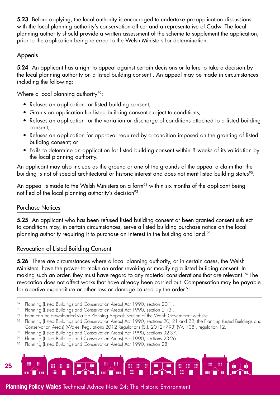5.23 Before applying, the local authority is encouraged to undertake pre-application discussions with the local planning authority's conservation officer and a representative of Cadw. The local planning authority should provide a written assessment of the scheme to supplement the application, prior to the application being referred to the Welsh Ministers for determination.

## Appeals

5.24 An applicant has a right to appeal against certain decisions or failure to take a decision by the local planning authority on a listed building consent . An appeal may be made in circumstances including the following:

Where a local planning authority<sup>89</sup>:

- Refuses an application for listed building consent;
- Grants an application for listed building consent subject to conditions;
- Refuses an application for the variation or discharge of conditions attached to a listed building consent;
- Refuses an application for approval required by a condition imposed on the granting of listed building consent; or
- Fails to determine an application for listed building consent within 8 weeks of its validation by the local planning authority.

An applicant may also include as the ground or one of the grounds of the appeal a claim that the building is not of special architectural or historic interest and does not merit listed building status<sup>90</sup>.

An appeal is made to the Welsh Ministers on a form<sup>91</sup> within six months of the applicant being notified of the local planning authority's decision<sup>92</sup>.

## Purchase Notices

5.25 An applicant who has been refused listed building consent or been granted consent subject to conditions may, in certain circumstances, serve a listed building purchase notice on the local planning authority requiring it to purchase an interest in the building and land.<sup>93</sup>

## Revocation of Listed Building Consent

**5.26** There are circumstances where a local planning authority, or in certain cases, the Welsh Ministers, have the power to make an order revoking or modifying a listed building consent. In making such an order, they must have regard to any material considerations that are relevant.<sup>94</sup> The revocation does not affect works that have already been carried out. Compensation may be payable for abortive expenditure or other loss or damage caused by the order.<sup>95</sup>

- 89 Planning (Listed Buildings and Conservation Areas) Act 1990, section 20(1).<br>90 Planning (Listed Buildings and Conservation Areas) Act 1990, section 21(3).
- Planning (Listed Buildings and Conservation Areas) Act 1990, section 21(3).
- 91 Form can be downloaded via the Planning Appeals section of the Welsh Government website.
- <sup>92</sup> Planning (Listed Buildings and Conservation Areas) Act 1990, sections 20, 21 and 22; the Planning (Listed Buildings and Conservation Areas) (Wales) Regulations 2012 Regulations (S.I. 2012/793) (W. 108), regulation 12.
- 93 Planning (Listed Buildings and Conservation Areas) Act 1990, sections 32-37.
- 94 Planning (Listed Buildings and Conservation Areas) Act 1990, sections 23-26.
- Planning (Listed Buildings and Conservation Areas) Act 1990, section 28.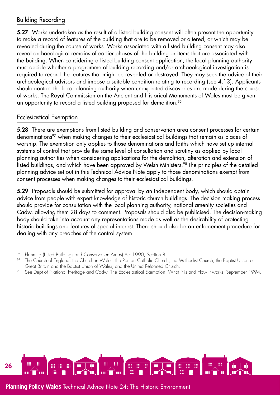## Building Recording

5.27 Works undertaken as the result of a listed building consent will often present the opportunity to make a record of features of the building that are to be removed or altered, or which may be revealed during the course of works. Works associated with a listed building consent may also reveal archaeological remains of earlier phases of the building or items that are associated with the building. When considering a listed building consent application, the local planning authority must decide whether a programme of building recording and/or archaeological investigation is required to record the features that might be revealed or destroyed. They may seek the advice of their archaeological advisors and impose a suitable condition relating to recording (see 4.13). Applicants should contact the local planning authority when unexpected discoveries are made during the course of works. The Royal Commission on the Ancient and Historical Monuments of Wales must be given an opportunity to record a listed building proposed for demolition.<sup>96</sup>

## Ecclesiastical Exemption

5.28 There are exemptions from listed building and conservation area consent processes for certain denominations<sup>97</sup> when making changes to their ecclesiastical buildings that remain as places of worship. The exemption only applies to those denominations and faiths which have set up internal systems of control that provide the same level of consultation and scrutiny as applied by local planning authorities when considering applications for the demolition, alteration and extension of listed buildings, and which have been approved by Welsh Ministers.<sup>98</sup> The principles of the detailed planning advice set out in this Technical Advice Note apply to those denominations exempt from consent processes when making changes to their ecclesiastical buildings.

5.29 Proposals should be submitted for approval by an independent body, which should obtain advice from people with expert knowledge of historic church buildings. The decision making process should provide for consultation with the local planning authority, national amenity societies and Cadw, allowing them 28 days to comment. Proposals should also be publicised. The decision-making body should take into account any representations made as well as the desirability of protecting historic buildings and features of special interest. There should also be an enforcement procedure for dealing with any breaches of the control system.



<sup>96</sup> Planning (Listed Buildings and Conservation Areas) Act 1990, Section 8.

The Church of England, the Church in Wales, the Roman Catholic Church, the Methodist Church, the Baptist Union of Great Britain and the Baptist Union of Wales, and the United Reformed Church.

<sup>98</sup> See Dept of National Heritage and Cadw, The Ecclesiastical Exemption: What it is and How it works, September 1994.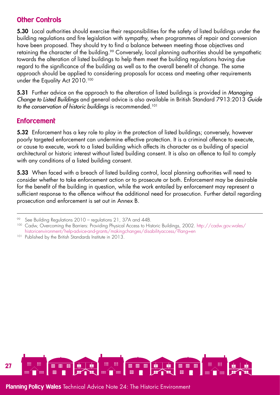## **Other Controls**

5.30 Local authorities should exercise their responsibilities for the safety of listed buildings under the building regulations and fire legislation with sympathy, when programmes of repair and conversion have been proposed. They should try to find a balance between meeting those objectives and retaining the character of the building.<sup>99</sup> Conversely, local planning authorities should be sympathetic towards the alteration of listed buildings to help them meet the building regulations having due regard to the significance of the building as well as to the overall benefit of change. The same approach should be applied to considering proposals for access and meeting other requirements under the Equality Act 2010.<sup>100</sup>

5.31 Further advice on the approach to the alteration of listed buildings is provided in *Managing Change to Listed Buildings* and general advice is also available in British Standard 7913:2013 *Guide to the conservation of historic buildings* is recommended.101

## **Enforcement**

5.32 Enforcement has a key role to play in the protection of listed buildings; conversely, however poorly targeted enforcement can undermine effective protection. It is a criminal offence to execute, or cause to execute, work to a listed building which affects its character as a building of special architectural or historic interest without listed building consent. It is also an offence to fail to comply with any conditions of a listed building consent.

5.33 When faced with a breach of listed building control, local planning authorities will need to consider whether to take enforcement action or to prosecute or both. Enforcement may be desirable for the benefit of the building in question, while the work entailed by enforcement may represent a sufficient response to the offence without the additional need for prosecution. Further detail regarding prosecution and enforcement is set out in Annex B.



<sup>99</sup> See Building Regulations 2010 – regulations 21, 37A and 44B.

<sup>100</sup> Cadw, Overcoming the Barriers: Providing Physical Access to Historic Buildings, 2002. [http://cadw.gov.wales/](http://cadw.gov.wales/historicenvironment/help-advice-and-grants/makingchanges/disabilityaccess/?lang=en) [historicenvironment/help-advice-and-grants/makingchanges/disabilityaccess/?lang=en](http://cadw.gov.wales/historicenvironment/help-advice-and-grants/makingchanges/disabilityaccess/?lang=en)

<sup>&</sup>lt;sup>101</sup> Published by the British Standards Institute in 2013.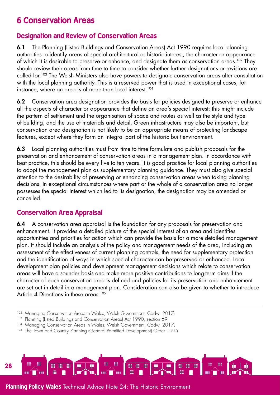# <span id="page-27-0"></span>6 Conservation Areas

# Designation and Review of Conservation Areas

6.1 The Planning (Listed Buildings and Conservation Areas) Act 1990 requires local planning authorities to identify areas of special architectural or historic interest, the character or appearance of which it is desirable to preserve or enhance, and desianate them as conservation areas.<sup>102</sup> They should review their areas from time to time to consider whether further designations or revisions are called for.103 The Welsh Ministers also have powers to designate conservation areas after consultation with the local planning authority. This is a reserved power that is used in exceptional cases, for instance, where an area is of more than local interest.<sup>104</sup>

6.2 Conservation area designation provides the basis for policies designed to preserve or enhance all the aspects of character or appearance that define an area's special interest: this might include the pattern of settlement and the organisation of space and routes as well as the style and type of building, and the use of materials and detail. Green infrastructure may also be important, but conservation area designation is not likely to be an appropriate means of protecting landscape features, except where they form an integral part of the historic built environment.

6.3 Local planning authorities must from time to time formulate and publish proposals for the preservation and enhancement of conservation areas in a management plan. In accordance with best practice, this should be every five to ten years. It is good practice for local planning authorities to adopt the management plan as supplementary planning guidance. They must also give special attention to the desirability of preserving or enhancing conservation areas when taking planning decisions. In exceptional circumstances where part or the whole of a conservation area no longer possesses the special interest which led to its designation, the designation may be amended or cancelled.

## <span id="page-27-1"></span>Conservation Area Appraisal

6.4 A conservation area appraisal is the foundation for any proposals for preservation and enhancement. It provides a detailed picture of the special interest of an area and identifies opportunities and priorities for action which can provide the basis for a more detailed management plan. It should include an analysis of the policy and management needs of the area, including an assessment of the effectiveness of current planning controls, the need for supplementary protection and the identification of ways in which special character can be preserved or enhanced. Local development plan policies and development management decisions which relate to conservation areas will have a sounder basis and make more positive contributions to long-term aims if the character of each conservation area is defined and policies for its preservation and enhancement are set out in detail in a management plan. Consideration can also be given to whether to introduce Article 4 Directions in these areas.<sup>105</sup>

<sup>&</sup>lt;sup>105</sup> The Town and Country Planning (General Permitted Development) Order 1995.



<sup>&</sup>lt;sup>102</sup> Managing Conservation Areas in Wales, Welsh Government, Cadw, 2017.

<sup>&</sup>lt;sup>103</sup> Planning (Listed Buildings and Conservation Areas) Act 1990, section 69.

<sup>&</sup>lt;sup>104</sup> Managing Conservation Areas in Wales, Welsh Government, Cadw, 2017.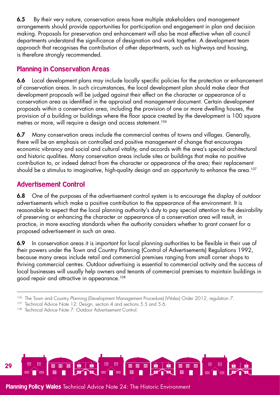6.5 By their very nature, conservation areas have multiple stakeholders and management arrangements should provide opportunities for participation and engagement in plan and decision making. Proposals for preservation and enhancement will also be most effective when all council departments understand the significance of designation and work together. A development team approach that recognises the contribution of other departments, such as highways and housing, is therefore strongly recommended.

# Planning in Conservation Areas

6.6 Local development plans may include locally specific policies for the protection or enhancement of conservation areas. In such circumstances, the local development plan should make clear that development proposals will be judged against their effect on the character or appearance of a conservation area as identified in the appraisal and management document. Certain development proposals within a conservation area, including the provision of one or more dwelling houses, the provision of a building or buildings where the floor space created by the development is 100 square metres or more, will require a design and access statement.<sup>106</sup>

6.7 Many conservation areas include the commercial centres of towns and villages. Generally, there will be an emphasis on controlled and positive management of change that encourages economic vibrancy and social and cultural vitality, and accords with the area's special architectural and historic qualities. Many conservation areas include sites or buildings that make no positive contribution to, or indeed detract from the character or appearance of the area; their replacement should be a stimulus to imaginative, high-quality design and an opportunity to enhance the area.<sup>107</sup>

# <span id="page-28-0"></span>Advertisement Control

6.8 One of the purposes of the advertisement control system is to encourage the display of outdoor advertisements which make a positive contribution to the appearance of the environment. It is reasonable to expect that the local planning authority's duty to pay special attention to the desirability of preserving or enhancing the character or appearance of a conservation area will result, in practice, in more exacting standards when the authority considers whether to grant consent for a proposed advertisement in such an area.

6.9 In conservation areas it is important for local planning authorities to be flexible in their use of their powers under the Town and Country Planning (Control of Advertisements) Regulations 1992, because many areas include retail and commercial premises ranging from small corner shops to thriving commercial centres. Outdoor advertising is essential to commercial activity and the success of local businesses will usually help owners and tenants of commercial premises to maintain buildings in good repair and attractive in appearance.<sup>108</sup>

<sup>107</sup> Technical Advice Note 12: Design, section 4 and sections 5.5 and 5.6.



<sup>106</sup> The Town and Country Planning (Development Management Procedure) (Wales) Order 2012, regulation 7.

<sup>108</sup> Technical Advice Note 7: Outdoor Advertisement Control.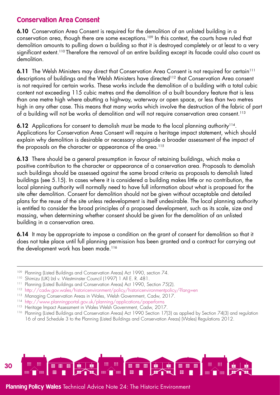## <span id="page-29-0"></span>Conservation Area Consent

6.10 Conservation Area Consent is required for the demolition of an unlisted building in a conservation area, though there are some exceptions.109 In this context, the courts have ruled that demolition amounts to pulling down a building so that it is destroyed completely or at least to a very significant extent.<sup>110</sup> Therefore the removal of an entire building except its facade could also count as demolition.

6.11 The Welsh Ministers may direct that Conservation Area Consent is not required for certain<sup>111</sup> descriptions of buildings and the Welsh Ministers have directed<sup>112</sup> that Conservation Area consent is not required for certain works. These works include the demolition of a building with a total cubic content not exceeding 115 cubic metres and the demolition of a built boundary feature that is less than one metre high where abutting a highway, waterway or open space, or less than two metres high in any other case. This means that many works which involve the destruction of the fabric of part of a building will not be works of demolition and will not require conservation area consent.113

**6.12** Applications for consent to demolish must be made to the local planning authority<sup>114</sup>. Applications for Conservation Area Consent will require a heritage impact statement, which should explain why demolition is desirable or necessary alongside a broader assessment of the impact of the proposals on the character or appearance of the area.<sup>115</sup>

6.13 There should be a general presumption in favour of retaining buildings, which make a positive contribution to the character or appearance of a conservation area. Proposals to demolish such buildings should be assessed against the same broad criteria as proposals to demolish listed buildings (see 5.15). In cases where it is considered a building makes little or no contribution, the local planning authority will normally need to have full information about what is proposed for the site after demolition. Consent for demolition should not be given without acceptable and detailed plans for the reuse of the site unless redevelopment is itself undesirable. The local planning authority is entitled to consider the broad principles of a proposed development, such as its scale, size and massing, when determining whether consent should be given for the demolition of an unlisted building in a conservation area.

6.14 It may be appropriate to impose a condition on the grant of consent for demolition so that it does not take place until full planning permission has been granted and a contract for carrying out the development work has been made.<sup>116</sup>



<sup>&</sup>lt;sup>109</sup> Planning (Listed Buildings and Conservation Areas) Act 1990, section 74.

<sup>110</sup> Shimizu (UK) Ltd v. Westminster Council (1997) 1 All E. R. 481.

<sup>&</sup>lt;sup>111</sup> Planning (Listed Buildings and Conservation Areas) Act 1990, Section 75(2).

<sup>112</sup> [http://cadw.gov.wales/historicenvironment/policy/historicenvironmentpolicy/?lang=en](http://cadw.gov.wales/historicenvironment/policy/historicenvironmentpolicy/?lang=en ) 

<sup>&</sup>lt;sup>113</sup> Managing Conservation Areas in Wales, Welsh Government, Cadw, 2017.

<sup>114</sup> <http://www.planningportal.gov.uk/planning/applications/paperforms>

<sup>&</sup>lt;sup>115</sup> Heritage Impact Assessment in Wales Welsh Government, Cadw, 2017.

<sup>116</sup> Planning (Listed Buildings and Conservation Areas) Act 1990 Section 17(3) as applied by Section 74(3) and regulation 16 of and Schedule 3 to the Planning (Listed Buildings and Conservation Areas) (Wales) Regulations 2012.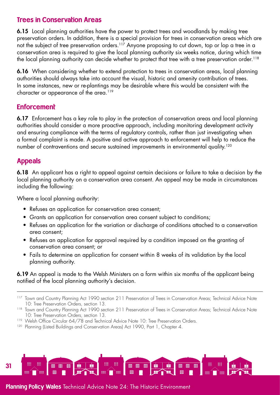## Trees in Conservation Areas

6.15 Local planning authorities have the power to protect trees and woodlands by making tree preservation orders. In addition, there is a special provision for trees in conservation areas which are not the subject of tree preservation orders.<sup>117</sup> Anyone proposing to cut down, top or lop a tree in a conservation area is required to give the local planning authority six weeks notice, during which time the local planning authority can decide whether to protect that tree with a tree preservation order.<sup>118</sup>

6.16 When considering whether to extend protection to trees in conservation areas, local planning authorities should always take into account the visual, historic and amenity contribution of trees. In some instances, new or re-plantings may be desirable where this would be consistent with the character or appearance of the area.<sup>119</sup>

## **Enforcement**

6.17 Enforcement has a key role to play in the protection of conservation areas and local planning authorities should consider a more proactive approach, including monitoring development activity and ensuring compliance with the terms of regulatory controls, rather than just investigating when a formal complaint is made. A positive and active approach to enforcement will help to reduce the number of contraventions and secure sustained improvements in environmental quality.<sup>120</sup>

## Appeals

6.18 An applicant has a right to appeal against certain decisions or failure to take a decision by the local planning authority on a conservation area consent. An appeal may be made in circumstances including the following:

Where a local planning authority:

- Refuses an application for conservation area consent;
- Grants an application for conservation area consent subject to conditions;
- Refuses an application for the variation or discharge of conditions attached to a conservation area consent;
- Refuses an application for approval required by a condition imposed on the granting of conservation area consent; or
- Fails to determine an application for consent within 8 weeks of its validation by the local planning authority.

6.19 An appeal is made to the Welsh Ministers on a form within six months of the applicant being notified of the local planning authority's decision.



<sup>&</sup>lt;sup>117</sup> Town and Country Planning Act 1990 section 211 Preservation of Trees in Conservation Areas; Technical Advice Note 10: Tree Preservation Orders, section 13.

<sup>118</sup> Town and Country Planning Act 1990 section 211 Preservation of Trees in Conservation Areas; Technical Advice Note 10: Tree Preservation Orders, section 13.

<sup>&</sup>lt;sup>119</sup> Welsh Office Circular 64/78 and Technical Advice Note 10: Tree Preservation Orders.

<sup>&</sup>lt;sup>120</sup> Planning (Listed Buildings and Conservation Areas) Act 1990, Part 1, Chapter 4.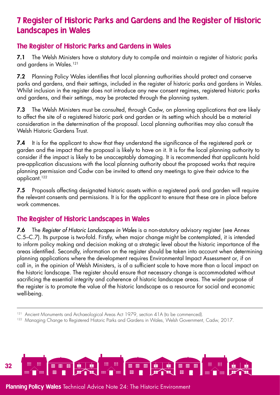# <span id="page-31-0"></span>7 Register of Historic Parks and Gardens and the Register of Historic Landscapes in Wales

## The Register of Historic Parks and Gardens in Wales

7.1 The Welsh Ministers have a statutory duty to compile and maintain a register of historic parks and gardens in Wales.121

7.2 Planning Policy Wales identifies that local planning authorities should protect and conserve parks and gardens, and their settings, included in the register of historic parks and gardens in Wales. Whilst inclusion in the register does not introduce any new consent regimes, registered historic parks and gardens, and their settings, may be protected through the planning system.

7.3 The Welsh Ministers must be consulted, through Cadw, on planning applications that are likely to affect the site of a registered historic park and garden or its setting which should be a material consideration in the determination of the proposal. Local planning authorities may also consult the Welsh Historic Gardens Trust.

7.4 It is for the applicant to show that they understand the significance of the registered park or garden and the impact that the proposal is likely to have on it. It is for the local planning authority to consider if the impact is likely to be unacceptably damaging. It is recommended that applicants hold pre-application discussions with the local planning authority about the proposed works that require planning permission and Cadw can be invited to attend any meetings to give their advice to the applicant.122

7.5 Proposals affecting designated historic assets within a registered park and garden will require the relevant consents and permissions. It is for the applicant to ensure that these are in place before work commences.

# The Register of Historic Landscapes in Wales

7.6 The *Register of Historic Landscapes in Wales* is a non-statutory advisory register (see Annex C.5–C.7). Its purpose is two-fold. Firstly, when major change might be contemplated, it is intended to inform policy making and decision making at a strategic level about the historic importance of the areas identified. Secondly, information on the register should be taken into account when determining planning applications where the development requires Environmental Impact Assessment or, if on call in, in the opinion of Welsh Ministers, is of a sufficient scale to have more than a local impact on the historic landscape. The register should ensure that necessary change is accommodated without sacrificing the essential integrity and coherence of historic landscape areas. The wider purpose of the register is to promote the value of the historic landscape as a resource for social and economic well-being.



<sup>&</sup>lt;sup>121</sup> Ancient Monuments and Archaeological Areas Act 1979, section 41A (to be commenced).

<sup>&</sup>lt;sup>122</sup> Managing Change to Registered Historic Parks and Gardens in Wales, Welsh Government, Cadw, 2017.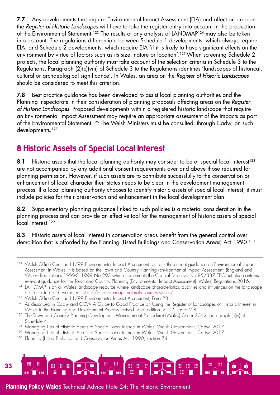7.7 Any developments that require Environmental Impact Assessment (EIA) and affect an area on the *Register of Historic Landscapes* will have to take the register entry into account in the production of the Environmental Statement.<sup>123</sup> The results of any analysis of LANDMAP<sup>124</sup> may also be taken into account. The regulations differentiate between Schedule 1 developments, which always require EIA, and Schedule 2 developments, which require EIA 'if it is likely to have significant effects on the environment by virtue of factors such as its size, nature or location'.<sup>125</sup> When screening Schedule 2 projects, the local planning authority must take account of the selection criteria in Schedule 3 to the Regulations. Paragraph (2)(c)(viii) of Schedule 3 to the Regulations identifies 'landscapes of historical, cultural or archaeological significance'. In Wales, an area on the *Register of Historic Landscapes* should be considered to meet this criterion.

7.8 Best practice guidance has been developed to assist local planning authorities and the Planning Inspectorate in their consideration of planning proposals affecting areas on the *Register of Historic Landscapes.* Proposed developments within a registered historic landscape that require an Environmental Impact Assessment may require an appropriate assessment of the impacts as part of the Environmental Statement.<sup>126</sup> The Welsh Ministers must be consulted, through Cadw, on such developments.<sup>127</sup>

# <span id="page-32-0"></span>8 Historic Assets of Special Local Interest

8.1 Historic assets that the local planning authority may consider to be of special local interest<sup>128</sup> are not accompanied by any additional consent requirements over and above those required for planning permission. However, if such assets are to contribute successfully to the conservation or enhancement of local character their status needs to be clear in the development management process. If a local planning authority chooses to identify historic assets of special local interest, it must include policies for their preservation and enhancement in the local development plan.

8.2 Supplementary planning guidance linked to such policies is a material consideration in the planning process and can provide an effective tool for the management of historic assets of special local interest.<sup>129</sup>

8.3 Historic assets of local interest in conservation areas benefit from the general control over demolition that is afforded by the Planning (Listed Buildings and Conservation Areas) Act 1990.<sup>130</sup>

<sup>&</sup>lt;sup>130</sup> Planning (Listed Buildings and Conservation Areas Act) 1990, section 74.



<sup>&</sup>lt;sup>123</sup> Welsh Office Circular 11/99 Environmental Impact Assessment remains the current guidance on Environmental Impact Assessment in Wales. It is based on the Town and Country Planning (Environmental Impact Assessment) (England and Wales) Regulations 1999-SI 1999 No 293 which implements the Council Directive No 85/337 EEC but also contains relevant guidance for the Town and Country Planning (Environmental Impact Assessment) (Wales) Regulations 2016.

<sup>124</sup> LANDMAP is an all-Wales landscape resource where landscape characteristics, qualities and influences on the landscape are recorded and evaluated.<http://landmap-maps.naturalresources.wales/>

<sup>&</sup>lt;sup>125</sup> Welsh Office Circular 11/99 Environmental Impact Assessment, Para 28.

<sup>126</sup> As described in Cadw and CCW A Guide to Good Practice on Using the Register of Landscapes of Historic Interest in

Wales in the Planning and Development Process revised (2nd) edition (2007), para 2.8. 127 The Town and Country Planning (Development Management Procedure) (Wales) Order 2012, paragraph (l)(iv) of Schedule 4.

<sup>&</sup>lt;sup>128</sup> Managing Lists of Historic Assets of Special Local Interest in Wales, Welsh Government, Cadw, 2017.

<sup>&</sup>lt;sup>129</sup> Managing Lists of Historic Assets of Special Local Interest in Wales, Welsh Government, Cadw, 2017.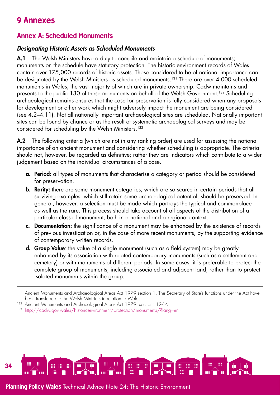# <span id="page-33-0"></span>9 Annexes

# <span id="page-33-1"></span>Annex A: Scheduled Monuments

## *Designating Historic Assets as Scheduled Monuments*

A.1 The Welsh Ministers have a duty to compile and maintain a schedule of monuments; monuments on the schedule have statutory protection. The historic environment records of Wales contain over 175,000 records of historic assets. Those considered to be of national importance can be designated by the Welsh Ministers as scheduled monuments.<sup>131</sup> There are over 4,000 scheduled monuments in Wales, the vast majority of which are in private ownership. Cadw maintains and presents to the public 130 of these monuments on behalf of the Welsh Government.<sup>132</sup> Scheduling archaeological remains ensures that the case for preservation is fully considered when any proposals for development or other work which might adversely impact the monument are being considered (see 4.2–4.11). Not all nationally important archaeological sites are scheduled. Nationally important sites can be found by chance or as the result of systematic archaeological surveys and may be considered for scheduling by the Welsh Ministers.133

A.2 The following criteria (which are not in any ranking order) are used for assessing the national importance of an ancient monument and considering whether scheduling is appropriate. The criteria should not, however, be regarded as definitive; rather they are indicators which contribute to a wider judgement based on the individual circumstances of a case.

- **a. Period:** all types of monuments that characterise a category or period should be considered for preservation.
- **b. Rarity:** there are some monument categories, which are so scarce in certain periods that all surviving examples, which still retain some archaeological potential, should be preserved. In general, however, a selection must be made which portrays the typical and commonplace as well as the rare. This process should take account of all aspects of the distribution of a particular class of monument, both in a national and a regional context.
- c. Documentation: the significance of a monument may be enhanced by the existence of records of previous investigation or, in the case of more recent monuments, by the supporting evidence of contemporary written records.
- d. Group Value: the value of a single monument (such as a field system) may be greatly enhanced by its association with related contemporary monuments (such as a settlement and cemetery) or with monuments of different periods. In some cases, it is preferable to protect the complete group of monuments, including associated and adjacent land, rather than to protect isolated monuments within the group.



<sup>131</sup> Ancient Monuments and Archaeological Areas Act 1979 section 1. The Secretary of State's functions under the Act have been transferred to the Welsh Ministers in relation to Wales.

<sup>&</sup>lt;sup>132</sup> Ancient Monuments and Archaeological Areas Act 1979, sections 12-16.

<sup>133</sup> <http://cadw.gov.wales/historicenvironment/protection/monuments/?lang=en>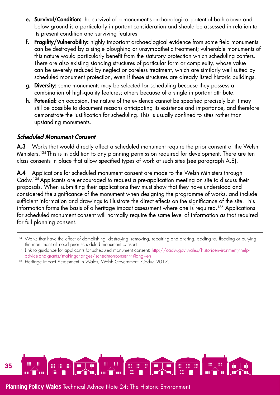- e. Survival/Condition: the survival of a monument's archaeological potential both above and below ground is a particularly important consideration and should be assessed in relation to its present condition and surviving features.
- f. Fragility/Vulnerability: highly important archaeological evidence from some field monuments can be destroyed by a single ploughing or unsympathetic treatment; vulnerable monuments of this nature would particularly benefit from the statutory protection which scheduling confers. There are also existing standing structures of particular form or complexity, whose value can be severely reduced by neglect or careless treatment, which are similarly well suited by scheduled monument protection, even if these structures are already listed historic buildings.
- g. Diversity: some monuments may be selected for scheduling because they possess a combination of high-quality features; others because of a single important attribute.
- h. Potential: on occasion, the nature of the evidence cannot be specified precisely but it may still be possible to document reasons anticipating its existence and importance, and therefore demonstrate the justification for scheduling. This is usually confined to sites rather than upstanding monuments.

## *Scheduled Monument Consent*

A.3 Works that would directly affect a scheduled monument require the prior consent of the Welsh Ministers.<sup>134</sup> This is in addition to any planning permission required for development. There are ten class consents in place that allow specified types of work at such sites (see paragraph A.8).

A.4 Applications for scheduled monument consent are made to the Welsh Ministers through Cadw.135Applicants are encouraged to request a pre-application meeting on site to discuss their proposals. When submitting their applications they must show that they have understood and considered the significance of the monument when designing the programme of works, and include sufficient information and drawings to illustrate the direct effects on the significance of the site. This information forms the basis of a heritage impact assessment where one is required.<sup>136</sup> Applications for scheduled monument consent will normally require the same level of information as that required for full planning consent.



<sup>&</sup>lt;sup>134</sup> Works that have the effect of demolishing, destroying, removing, repairing and altering, adding to, flooding or burying the monument all need prior scheduled monument consent.

<sup>&</sup>lt;sup>135</sup> Link to guidance for applicants for scheduled monument consent: [http://cadw.gov.wales/historicenvironment/help](http://cadw.gov.wales/historicenvironment/help-advice-and-grants/makingchanges/schedmonconsent/?lang=en)[advice-and-grants/makingchanges/schedmonconsent/?lang=en](http://cadw.gov.wales/historicenvironment/help-advice-and-grants/makingchanges/schedmonconsent/?lang=en)

<sup>&</sup>lt;sup>136</sup> Heritage Impact Assessment in Wales, Welsh Government, Cadw, 2017.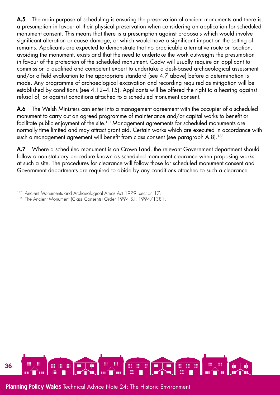A.5 The main purpose of scheduling is ensuring the preservation of ancient monuments and there is a presumption in favour of their physical preservation when considering an application for scheduled monument consent. This means that there is a presumption against proposals which would involve significant alteration or cause damage, or which would have a significant impact on the setting of remains. Applicants are expected to demonstrate that no practicable alternative route or location, avoiding the monument, exists and that the need to undertake the work outweighs the presumption in favour of the protection of the scheduled monument. Cadw will usually require an applicant to commission a qualified and competent expert to undertake a desk-based archaeological assessment and/or a field evaluation to the appropriate standard (see 4.7 above) before a determination is made. Any programme of archaeological excavation and recording required as mitigation will be established by conditions (see 4.12–4.15). Applicants will be offered the right to a hearing against refusal of, or against conditions attached to a scheduled monument consent.

A.6 The Welsh Ministers can enter into a management agreement with the occupier of a scheduled monument to carry out an agreed programme of maintenance and/or capital works to benefit or facilitate public enjoyment of the site.<sup>137</sup> Management agreements for scheduled monuments are normally time limited and may attract grant aid. Certain works which are executed in accordance with such a management agreement will benefit from class consent (see paragraph A.8).<sup>138</sup>

A.7 Where a scheduled monument is on Crown Land, the relevant Government department should follow a non-statutory procedure known as scheduled monument clearance when proposing works at such a site. The procedures for clearance will follow those for scheduled monument consent and Government departments are required to abide by any conditions attached to such a clearance.

<sup>138</sup> The Ancient Monument (Class Consents) Order 1994 S.I. 1994/1381.



<sup>&</sup>lt;sup>137</sup> Ancient Monuments and Archaeological Areas Act 1979, section 17.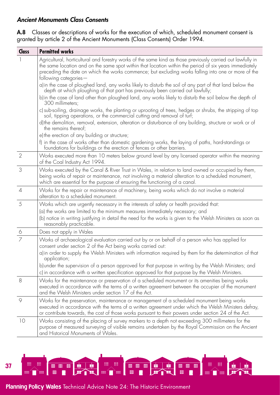## <span id="page-36-0"></span>*Ancient Monuments Class Consents*

A.8 Classes or descriptions of works for the execution of which, scheduled monument consent is granted by article 2 of the Ancient Monuments (Class Consents) Order 1994.

| Class          | <b>Permitted works</b>                                                                                                                                                                                                                                                                                                                                |
|----------------|-------------------------------------------------------------------------------------------------------------------------------------------------------------------------------------------------------------------------------------------------------------------------------------------------------------------------------------------------------|
|                | Agricultural, horticultural and forestry works of the same kind as those previously carried out lawfully in<br>the same location and on the same spot within that location within the period of six years immediately<br>preceding the date on which the works commence; but excluding works falling into one or more of the<br>following categories- |
|                | a) in the case of ploughed land, any works likely to disturb the soil of any part of that land below the<br>depth at which ploughing of that part has previously been carried out lawfully;                                                                                                                                                           |
|                | b) in the case of land other than ploughed land, any works likely to disturb the soil below the depth of<br>300 millimeters:                                                                                                                                                                                                                          |
|                | c) sub-soiling, drainage works, the planting or uprooting of trees, hedges or shrubs, the stripping of top<br>soil, tipping operations, or the commercial cutting and removal of turf;                                                                                                                                                                |
|                | d) the demolition, removal, extension, alteration or disturbance of any building, structure or work or of<br>the remains thereof;                                                                                                                                                                                                                     |
|                | e) the erection of any building or structure;                                                                                                                                                                                                                                                                                                         |
|                | f) in the case of works other than domestic gardening works, the laying of paths, hard-standings or<br>foundations for buildings or the erection of fences or other barriers.                                                                                                                                                                         |
| $\overline{2}$ | Works executed more than 10 meters below ground level by any licensed operator within the meaning<br>of the Coal Industry Act 1994.                                                                                                                                                                                                                   |
| 3              | Works executed by the Canal & River Trust in Wales, in relation to land owned or occupied by them,<br>being works of repair or maintenance, not involving a material alteration to a scheduled monument,<br>which are essential for the purpose of ensuring the functioning of a canal.                                                               |
| $\overline{4}$ | Works for the repair or maintenance of machinery, being works which do not involve a material<br>alteration to a scheduled monument.                                                                                                                                                                                                                  |
| 5              | Works which are urgently necessary in the interests of safety or health provided that:                                                                                                                                                                                                                                                                |
|                | (a) the works are limited to the minimum measures immediately necessary; and                                                                                                                                                                                                                                                                          |
|                | (b) notice in writing justifying in detail the need for the works is given to the Welsh Ministers as soon as<br>reasonably practicable.                                                                                                                                                                                                               |
| $\circ$        | Does not apply in Wales                                                                                                                                                                                                                                                                                                                               |
| $\overline{7}$ | Works of archaeological evaluation carried out by or on behalf of a person who has applied for<br>consent under section 2 of the Act being works carried out:                                                                                                                                                                                         |
|                | a) in order to supply the Welsh Ministers with information required by them for the determination of that<br>application;                                                                                                                                                                                                                             |
|                | b) under the supervision of a person approved for that purpose in writing by the Welsh Ministers; and<br>c) in accordance with a written specification approved for that purpose by the Welsh Ministers.                                                                                                                                              |
| 8              | Works for the maintenance or preservation of a scheduled monument or its amenities being works<br>executed in accordance with the terms of a written agreement between the occupier of the monument<br>and the Welsh Ministers under section 17 of the Act.                                                                                           |
| 9              | Works for the preservation, maintenance or management of a scheduled monument being works<br>executed in accordance with the terms of a written agreement under which the Welsh Ministers defray,<br>or contribute towards, the cost of those works pursuant to their powers under section 24 of the Act.                                             |
| 10             | Works consisting of the placing of survey markers to a depth not exceeding 300 millimeters for the<br>purpose of measured surveying of visible remains undertaken by the Royal Commission on the Ancient<br>and Historical Monuments of Wales.                                                                                                        |

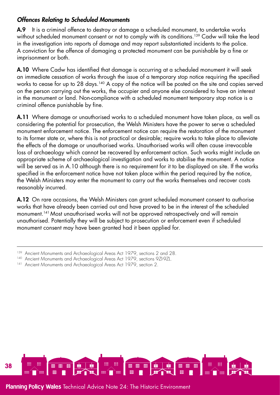## *Offences Relating to Scheduled Monuments*

A.9 It is a criminal offence to destroy or damage a scheduled monument, to undertake works without scheduled monument consent or not to comply with its conditions.<sup>139</sup> Cadw will take the lead in the investigation into reports of damage and may report substantiated incidents to the police. A conviction for the offence of damaging a protected monument can be punishable by a fine or imprisonment or both.

A.10 Where Cadw has identified that damage is occurring at a scheduled monument it will seek an immediate cessation of works through the issue of a temporary stop notice requiring the specified works to cease for up to 28 days.<sup>140</sup> A copy of the notice will be posted on the site and copies served on the person carrying out the works, the occupier and anyone else considered to have an interest in the monument or land. Non-compliance with a scheduled monument temporary stop notice is a criminal offence punishable by fine.

A.11 Where damage or unauthorised works to a scheduled monument have taken place, as well as considering the potential for prosecution, the Welsh Ministers have the power to serve a scheduled monument enforcement notice. The enforcement notice can require the restoration of the monument to its former state or, where this is not practical or desirable; require works to take place to alleviate the effects of the damage or unauthorised works. Unauthorised works will often cause irrevocable loss of archaeology which cannot be recovered by enforcement action. Such works might include an appropriate scheme of archaeological investigation and works to stabilise the monument. A notice will be served as in A.10 although there is no requirement for it to be displayed on site. If the works specified in the enforcement notice have not taken place within the period required by the notice, the Welsh Ministers may enter the monument to carry out the works themselves and recover costs reasonably incurred.

A.12 On rare occasions, the Welsh Ministers can grant scheduled monument consent to authorise works that have already been carried out and have proved to be in the interest of the scheduled monument.141 Most unauthorised works will not be approved retrospectively and will remain unauthorised. Potentially they will be subject to prosecution or enforcement even if scheduled monument consent may have been granted had it been applied for.



Ancient Monuments and Archaeological Areas Act 1979, sections 2 and 28.

<sup>140</sup> Ancient Monuments and Archaeological Areas Act 1979, sections 9ZI-9ZL.

<sup>&</sup>lt;sup>141</sup> Ancient Monuments and Archaeological Areas Act 1979, section 2.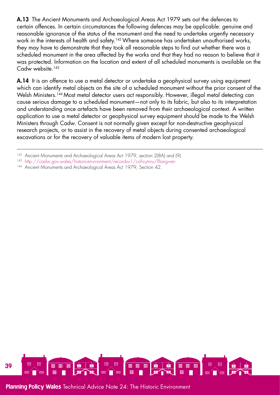A.13 The Ancient Monuments and Archaeological Areas Act 1979 sets out the defences to certain offences. In certain circumstances the following defences may be applicable: genuine and reasonable ignorance of the status of the monument and the need to undertake urgently necessary work in the interests of health and safety.<sup>142</sup> Where someone has undertaken unauthorised works, they may have to demonstrate that they took all reasonable steps to find out whether there was a scheduled monument in the area affected by the works and that they had no reason to believe that it was protected. Information on the location and extent of all scheduled monuments is available on the  $C$ adw website.<sup>143</sup>

A.14 It is an offence to use a metal detector or undertake a geophysical survey using equipment which can identify metal objects on the site of a scheduled monument without the prior consent of the Welsh Ministers.<sup>144</sup> Most metal detector users act responsibly. However, illegal metal detecting can cause serious damage to a scheduled monument—not only to its fabric, but also to its interpretation and understanding once artefacts have been removed from their archaeological context. A written application to use a metal detector or geophysical survey equipment should be made to the Welsh Ministers through Cadw. Consent is not normally given except for non-destructive geophysical research projects, or to assist in the recovery of metal objects during consented archaeological excavations or for the recovery of valuable items of modern lost property.

- <sup>143</sup> [http://cadw.gov.wales/historicenvironment/recordsv1/cof-cymru/?lang=en](http://cadw.gov.wales/historicenvironment/recordsv1/cof-cymru/?lang=en )
- 144 Ancient Monuments and Archaeological Areas Act 1979, Section 42.



<sup>142</sup> Ancient Monuments and Archaeological Areas Act 1979, section 2(8A) and (9).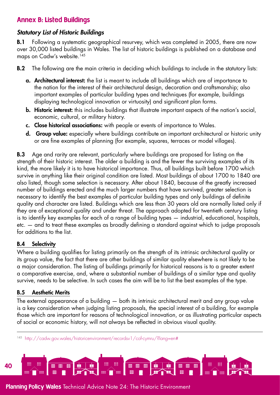## <span id="page-39-0"></span>Annex B: Listed Buildings

## *Statutory List of Historic Buildings*

**B.1** Following a systematic geographical resurvey, which was completed in 2005, there are now over 30,000 listed buildings in Wales. The list of historic buildings is published on a database and maps on Cadw's website.<sup>145</sup>

**B.2** The following are the main criteria in deciding which buildings to include in the statutory lists:

- a. Architectural interest: the list is meant to include all buildings which are of importance to the nation for the interest of their architectural design, decoration and craftsmanship; also important examples of particular building types and techniques (for example, buildings displaying technological innovation or virtuosity) and significant plan forms.
- **b. Historic interest:** this includes buildings that illustrate important aspects of the nation's social, economic, cultural, or military history.
- c. Close historical associations: with people or events of importance to Wales.
- d. Group value: especially where buildings contribute an important architectural or historic unity or are fine examples of planning (for example, squares, terraces or model villages).

**B.3** Age and rarity are relevant, particularly where buildings are proposed for listing on the strength of their historic interest. The older a building is and the fewer the surviving examples of its kind, the more likely it is to have historical importance. Thus, all buildings built before 1700 which survive in anything like their original condition are listed. Most buildings of about 1700 to 1840 are also listed, though some selection is necessary. After about 1840, because of the greatly increased number of buildings erected and the much larger numbers that have survived, greater selection is necessary to identify the best examples of particular building types and only buildings of definite quality and character are listed. Buildings which are less than 30 years old are normally listed only if they are of exceptional quality and under threat. The approach adopted for twentieth century listing is to identify key examples for each of a range of building types — industrial, educational, hospitals, etc. — and to treat these examples as broadly defining a standard against which to judge proposals for additions to the list.

## B.4 Selectivity

Where a building qualifies for listing primarily on the strength of its intrinsic architectural quality or its group value, the fact that there are other buildings of similar quality elsewhere is not likely to be a major consideration. The listing of buildings primarily for historical reasons is to a greater extent a comparative exercise, and, where a substantial number of buildings of a similar type and quality survive, needs to be selective. In such cases the aim will be to list the best examples of the type.

#### B.5 Aesthetic Merits

The external appearance of a building — both its intrinsic architectural merit and any group value is a key consideration when judging listing proposals, the special interest of a building, for example those which are important for reasons of technological innovation, or as illustrating particular aspects of social or economic history, will not always be reflected in obvious visual quality.

<sup>145</sup> <http://cadw.gov.wales/historicenvironment/recordsv1/cof-cymru/?lang=en#>

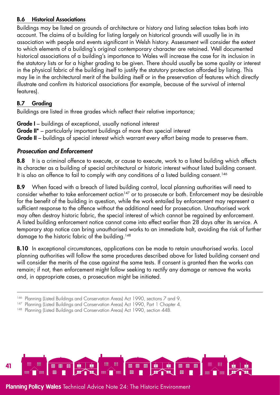#### B.6 Historical Associations

Buildings may be listed on grounds of architecture or history and listing selection takes both into account. The claims of a building for listing largely on historical grounds will usually lie in its association with people and events significant in Welsh history. Assessment will consider the extent to which elements of a building's original contemporary character are retained. Well documented historical associations of a building's importance to Wales will increase the case for its inclusion in the statutory lists or for a higher grading to be given. There should usually be some quality or interest in the physical fabric of the building itself to justify the statutory protection afforded by listing. This may lie in the architectural merit of the building itself or in the preservation of features which directly illustrate and confirm its historical associations (for example, because of the survival of internal features).

## B.7 Grading

Buildings are listed in three grades which reflect their relative importance;

**Grade I** – buildings of exceptional, usually national interest **Grade II**<sup>\*</sup> – particularly important buildings of more than special interest **Grade II** – buildings of special interest which warrant every effort being made to preserve them.

## *Prosecution and Enforcement*

**B.8** It is a criminal offence to execute, or cause to execute, work to a listed building which affects its character as a building of special architectural or historic interest without listed building consent. It is also an offence to fail to comply with any conditions of a listed building consent.<sup>146</sup>

B.9 When faced with a breach of listed building control, local planning authorities will need to consider whether to take enforcement action<sup>147</sup> or to prosecute or both. Enforcement may be desirable for the benefit of the building in question, while the work entailed by enforcement may represent a sufficient response to the offence without the additional need for prosecution. Unauthorised work may often destroy historic fabric, the special interest of which cannot be regained by enforcement. A listed building enforcement notice cannot come into effect earlier than 28 days after its service. A temporary stop notice can bring unauthorised works to an immediate halt, avoiding the risk of further damage to the historic fabric of the building.<sup>148</sup>

**B.10** In exceptional circumstances, applications can be made to retain unauthorised works. Local planning authorities will follow the same procedures described above for listed building consent and will consider the merits of the case against the same tests. If consent is granted then the works can remain; if not, then enforcement might follow seeking to rectify any damage or remove the works and, in appropriate cases, a prosecution might be initiated.



<sup>146</sup> Planning (Listed Buildings and Conservation Areas) Act 1990, sections 7 and 9.

<sup>147</sup> Planning (Listed Buildings and Conservation Areas) Act 1990, Part 1 Chapter 4.

<sup>148</sup> Planning (Listed Buildings and Conservation Areas) Act 1990, section 44B.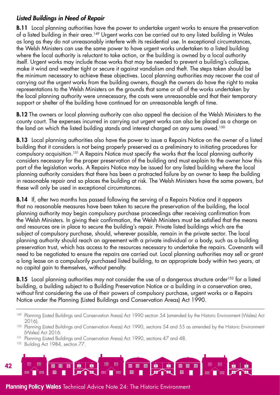## *Listed Buildings in Need of Repair*

**B.11** Local planning authorities have the power to undertake urgent works to ensure the preservation of a listed building in their area.<sup>149</sup> Urgent works can be carried out to any listed building in Wales as long as they do not unreasonably interfere with its residential use. In exceptional circumstances, the Welsh Ministers can use the same power to have urgent works undertaken to a listed building where the local authority is reluctant to take action, or the building is owned by a local authority itself. Urgent works may include those works that may be needed to prevent a building's collapse, make it wind and weather tight or secure it against vandalism and theft. The steps taken should be the minimum necessary to achieve these objectives. Local planning authorities may recover the cost of carrying out the urgent works from the building owners, though the owners do have the right to make representations to the Welsh Ministers on the grounds that some or all of the works undertaken by the local planning authority were unnecessary, the costs were unreasonable and that their temporary support or shelter of the building have continued for an unreasonable length of time.

**B.12** The owners or local planning authority can also appeal the decision of the Welsh Ministers to the county court. The expenses incurred in carrying out urgent works can also be placed as a charge on the land on which the listed building stands and interest charged on any sums owed.<sup>150</sup>

**B.13** Local planning authorities also have the power to issue a Repairs Notice on the owner of a listed building that it considers is not being properly preserved as a preliminary to initiating procedures for compulsory acquisition.151A Repairs Notice must specify the works that the local planning authority considers necessary for the proper preservation of the building and must explain to the owner how this part of the legislation works. A Repairs Notice may be issued for any listed building where the local planning authority considers that there has been a protracted failure by an owner to keep the building in reasonable repair and so places the building at risk. The Welsh Ministers have the same powers, but these will only be used in exceptional circumstances.

**B.14** If, after two months has passed following the serving of a Repairs Notice and it appears that no reasonable measures have been taken to secure the preservation of the building, the local planning authority may begin compulsory purchase proceedings after receiving confirmation from the Welsh Ministers. In giving their confirmation, the Welsh Ministers must be satisfied that the means and resources are in place to secure the building's repair. Private listed buildings which are the subject of compulsory purchase, should, wherever possible, remain in the private sector. The local planning authority should reach an agreement with a private individual or a body, such as a building preservation trust, which has access to the resources necessary to undertake the repairs. Covenants will need to be negotiated to ensure the repairs are carried out. Local planning authorities may sell or grant a long lease on a compulsorily purchased listed building, to an appropriate body within two years, at no capital gain to themselves, without penalty.

**B.15** Local planning authorities may not consider the use of a dangerous structure order<sup>152</sup> for a listed building, a building subject to a Building Preservation Notice or a building in a conservation area, without first considering the use of their powers of compulsory purchase, urgent works or a Repairs Notice under the Planning (Listed Buildings and Conservation Areas) Act 1990.

<sup>152</sup> Building Act 1984, section 77.

<sup>149</sup> Planning (Listed Buildings and Conservation Areas) Act 1990 section 54 (amended by the Historic Environment (Wales) Act 2016).

<sup>&</sup>lt;sup>150</sup> Planning (Listed Buildings and Conservation Areas) Act 1990, sections 54 and 55 as amended by the Historic Environment (Wales) Act 2016. 151 Planning (Listed Buildings and Conservation Areas) Act 1990, sections 47 and 48.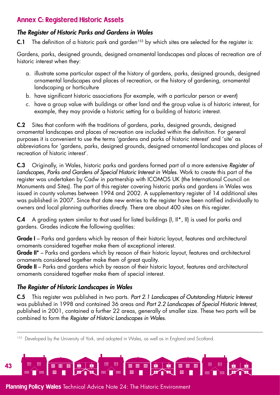# <span id="page-42-0"></span>Annex C: Registered Historic Assets

# *The Register of Historic Parks and Gardens in Wales*

**C.1** The definition of a historic park and garden<sup>153</sup> by which sites are selected for the register is:

Gardens, parks, designed grounds, designed ornamental landscapes and places of recreation are of historic interest when they:

- a. illustrate some particular aspect of the history of gardens, parks, designed grounds, designed ornamental landscapes and places of recreation, or the history of gardening, ornamental landscaping or horticulture
- b. have significant historic associations (for example, with a particular person or event)
- c. have a group value with buildings or other land and the group value is of historic interest, for example, they may provide a historic setting for a building of historic interest.

C.2 Sites that conform with the traditions of gardens, parks, designed grounds, designed ornamental landscapes and places of recreation are included within the definition. For general purposes it is convenient to use the terms 'gardens and parks of historic interest' and 'site' as abbreviations for 'gardens, parks, designed grounds, designed ornamental landscapes and places of recreation of historic interest'.

C.3 Originally, in Wales, historic parks and gardens formed part of a more extensive *Register of Landscapes, Parks and Gardens of Special Historic Interest in Wales*. Work to create this part of the register was undertaken by Cadw in partnership with ICOMOS UK (the International Council on Monuments and Sites). The part of this register covering historic parks and gardens in Wales was issued in county volumes between 1994 and 2002. A supplementary register of 14 additional sites was published in 2007. Since that date new entries to the register have been notified individually to owners and local planning authorities directly. There are about 400 sites on this register.

C.4 A grading system similar to that used for listed buildings (I, II\*, II) is used for parks and gardens. Grades indicate the following qualities:

Grade I – Parks and gardens which by reason of their historic layout, features and architectural ornaments considered together make them of exceptional interest.

Grade II<sup>\*</sup> – Parks and gardens which by reason of their historic layout, features and architectural ornaments considered together make them of great quality.

Grade II – Parks and gardens which by reason of their historic layout, features and architectural ornaments considered together make them of special interest.

# *The Register of Historic Landscapes in Wales*

C.5 This register was published in two parts. *Part 2.1 Landscapes of Outstanding Historic Interest*  was published in 1998 and contained 36 areas and *Part 2.2 Landscapes of Special Historic Interest*, published in 2001, contained a further 22 areas, generally of smaller size. These two parts will be combined to form the *Register of Historic Landscapes in Wales*.

<sup>153</sup> Developed by the University of York, and adopted in Wales, as well as in England and Scotland.

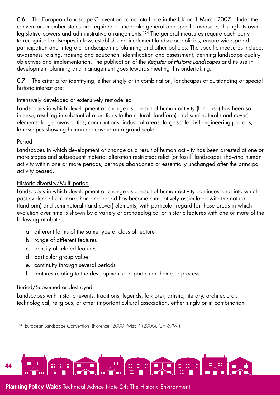C.6 The European Landscape Convention came into force in the UK on 1 March 2007. Under the convention, member states are required to undertake general and specific measures through its own legislative powers and administrative arrangements.<sup>154</sup> The general measures require each party to recognise landscapes in law, establish and implement landscape policies, ensure widespread participation and integrate landscape into planning and other policies. The specific measures include; awareness raising, training and education, identification and assessment, defining landscape quality objectives and implementation. The publication of the *Register of Historic Landscapes* and its use in development planning and management goes towards meeting this undertaking.

C.7 The criteria for identifying, either singly or in combination, landscapes of outstanding or special historic interest are:

#### Intensively developed or extensively remodelled

Landscapes in which development or change as a result of human activity (land use) has been so intense, resulting in substantial alterations to the natural (landform) and semi-natural (land cover) elements: large towns, cities, conurbations, industrial areas, large-scale civil engineering projects, landscapes showing human endeavour on a grand scale.

#### Period

Landscapes in which development or change as a result of human activity has been arrested at one or more stages and subsequent material alteration restricted: relict (or fossil) landscapes showing human activity within one or more periods, perhaps abandoned or essentially unchanged after the principal activity ceased.

#### Historic diversity/Multi-period

Landscapes in which development or change as a result of human activity continues, and into which past evidence from more than one period has become cumulatively assimilated with the natural (landform) and semi-natural (land cover) elements, with particular regard for those areas in which evolution over time is shown by a variety of archaeological or historic features with one or more of the following attributes:

- a. different forms of the same type of class of feature
- b. range of different features
- c. density of related features
- d. particular group value
- e. continuity through several periods
- f. features relating to the development of a particular theme or process.

## Buried/Subsumed or destroyed

Landscapes with historic (events, traditions, legends, folklore), artistic, literary, architectural, technological, religious, or other important cultural association, either singly or in combination.

<sup>154</sup> European Landscape Convention, (Florence, 2000, Misc 4 (2006), Cm 6794).

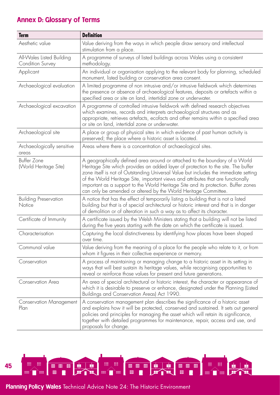# <span id="page-44-0"></span>Annex D: Glossary of Terms

| <b>Term</b>                                   | <b>Definition</b>                                                                                                                                                                                                                                                                                                                                                                                                                                                                                     |
|-----------------------------------------------|-------------------------------------------------------------------------------------------------------------------------------------------------------------------------------------------------------------------------------------------------------------------------------------------------------------------------------------------------------------------------------------------------------------------------------------------------------------------------------------------------------|
| Aesthetic value                               | Value deriving from the ways in which people draw sensory and intellectual<br>stimulation from a place.                                                                                                                                                                                                                                                                                                                                                                                               |
| All-Wales Listed Building<br>Condition Survey | A programme of surveys of listed buildings across Wales using a consistent<br>methodology.                                                                                                                                                                                                                                                                                                                                                                                                            |
| Applicant                                     | An individual or organisation applying to the relevant body for planning, scheduled<br>monument, listed building or conservation area consent.                                                                                                                                                                                                                                                                                                                                                        |
| Archaeological evaluation                     | A limited programme of non intrusive and/or intrusive fieldwork which determines<br>the presence or absence of archaeological features, deposits or artefacts within a<br>specified area or site on land, intertidal zone or underwater.                                                                                                                                                                                                                                                              |
| Archaeological excavation                     | A programme of controlled intrusive fieldwork with defined research objectives<br>which examines, records and interprets archaeological structures and as<br>appropriate, retrieves artefacts, ecofacts and other remains within a specified area<br>or site on land, intertidal zone or underwater.                                                                                                                                                                                                  |
| Archaeological site                           | A place or group of physical sites in which evidence of past human activity is<br>preserved; the place where a historic asset is located.                                                                                                                                                                                                                                                                                                                                                             |
| Archaeologically sensitive<br>areas           | Areas where there is a concentration of archaeological sites.                                                                                                                                                                                                                                                                                                                                                                                                                                         |
| <b>Buffer Zone</b><br>(World Heritage Site)   | A geographically defined area around or attached to the boundary of a World<br>Heritage Site which provides an added layer of protection to the site. The buffer<br>zone itself is not of Outstanding Universal Value but includes the immediate setting<br>of the World Heritage Site, important views and attributes that are functionally<br>important as a support to the World Heritage Site and its protection. Buffer zones<br>can only be amended or altered by the World Heritage Committee. |
| <b>Building Preservation</b><br>Notice        | A notice that has the effect of temporarily listing a building that is not a listed<br>building but that is of special architectural or historic interest and that is in danger<br>of demolition or of alteration in such a way as to affect its character.                                                                                                                                                                                                                                           |
| Certificate of Immunity                       | A certificate issued by the Welsh Ministers stating that a building will not be listed<br>during the five years starting with the date on which the certificate is issued.                                                                                                                                                                                                                                                                                                                            |
| Characterisation                              | Capturing the local distinctiveness by identifying how places have been shaped<br>over time.                                                                                                                                                                                                                                                                                                                                                                                                          |
| Communal value                                | Value deriving from the meaning of a place for the people who relate to it, or from<br>whom it figures in their collective experience or memory.                                                                                                                                                                                                                                                                                                                                                      |
| Conservation                                  | A process of maintaining or managing change to a historic asset in its setting in<br>ways that will best sustain its heritage values, while recognising opportunities to<br>reveal or reinforce those values for present and future generations.                                                                                                                                                                                                                                                      |
| <b>Conservation Area</b>                      | An area of special architectural or historic interest, the character or appearance of<br>which it is desirable to preserve or enhance, designated under the Planning (Listed<br>Buildings and Conservation Areas) Act 1990.                                                                                                                                                                                                                                                                           |
| <b>Conservation Management</b><br>Plan        | A conservation management plan describes the significance of a historic asset<br>and explains how it will be protected, conserved and sustained. It sets out general<br>policies and principles for managing the asset which will retain its significance,<br>together with detailed programmes for maintenance, repair, access and use, and<br>proposals for change.                                                                                                                                 |

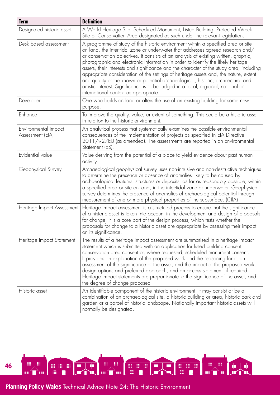| <b>Term</b>                              | <b>Definition</b>                                                                                                                                                                                                                                                                                                                                                                                                                                                                                                                                                                                                                                                                                                                                     |
|------------------------------------------|-------------------------------------------------------------------------------------------------------------------------------------------------------------------------------------------------------------------------------------------------------------------------------------------------------------------------------------------------------------------------------------------------------------------------------------------------------------------------------------------------------------------------------------------------------------------------------------------------------------------------------------------------------------------------------------------------------------------------------------------------------|
| Designated historic asset                | A World Heritage Site, Scheduled Monument, Listed Building, Protected Wreck<br>Site or Conservation Area designated as such under the relevant legislation.                                                                                                                                                                                                                                                                                                                                                                                                                                                                                                                                                                                           |
| Desk based assessment                    | A programme of study of the historic environment within a specified area or site<br>on land, the inter-tidal zone or underwater that addresses agreed research and/<br>or conservation objectives. It consists of an analysis of existing written, graphic,<br>photographic and electronic information in order to identify the likely heritage<br>assets, their interests and significance and the character of the study area, including<br>appropriate consideration of the settings of heritage assets and, the nature, extent<br>and quality of the known or potential archaeological, historic, architectural and<br>artistic interest. Significance is to be judged in a local, regional, national or<br>international context as appropriate. |
| Developer                                | One who builds on land or alters the use of an existing building for some new<br>purpose.                                                                                                                                                                                                                                                                                                                                                                                                                                                                                                                                                                                                                                                             |
| Enhance                                  | To improve the quality, value, or extent of something. This could be a historic asset<br>in relation to the historic environment.                                                                                                                                                                                                                                                                                                                                                                                                                                                                                                                                                                                                                     |
| Environmental Impact<br>Assessment (EIA) | An analytical process that systematically examines the possible environmental<br>consequences of the implementation of projects as specified in EIA Directive<br>2011/92/EU (as amended). The assessments are reported in an Environmental<br>Statement (ES).                                                                                                                                                                                                                                                                                                                                                                                                                                                                                         |
| Evidential value                         | Value deriving from the potential of a place to yield evidence about past human<br>activity.                                                                                                                                                                                                                                                                                                                                                                                                                                                                                                                                                                                                                                                          |
| Geophysical Survey                       | Archaeological geophysical survey uses non-intrusive and non-destructive techniques<br>to determine the presence or absence of anomalies likely to be caused by<br>archaeological features, structures or deposits, as far as reasonably possible, within<br>a specified area or site on land, in the inter-tidal zone or underwater. Geophysical<br>survey determines the presence of anomalies of archaeological potential through<br>measurement of one or more physical properties of the subsurface. (CIfA)                                                                                                                                                                                                                                      |
| Heritage Impact Assessment               | Heritage impact assessment is a structured process to ensure that the significance<br>of a historic asset is taken into account in the development and design of proposals<br>for change. It is a core part of the design process, which tests whether the<br>proposals for change to a historic asset are appropriate by assessing their impact<br>on its significance.                                                                                                                                                                                                                                                                                                                                                                              |
| Heritage Impact Statement                | The results of a heritage impact assessment are summarised in a heritage impact<br>statement which is submitted with an application for listed building consent,<br>conservation area consent or, where requested, scheduled monument consent.<br>It provides an explanation of the proposed work and the reasoning for it, an<br>assessment of the significance of the asset, and the impact of the proposed work,<br>design options and preferred approach, and an access statement, if required.<br>Heritage impact statements are proportionate to the significance of the asset, and<br>the degree of change proposed                                                                                                                            |
| Historic asset                           | An identifiable component of the historic environment. It may consist or be a<br>combination of an archaeological site, a historic building or area, historic park and<br>garden or a parcel of historic landscape. Nationally important historic assets will<br>normally be designated.                                                                                                                                                                                                                                                                                                                                                                                                                                                              |

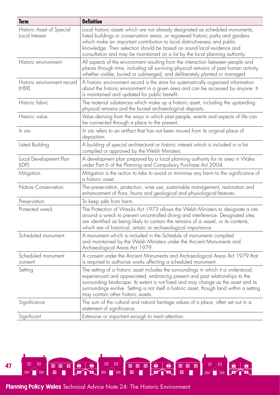| <b>Term</b>                                 | <b>Definition</b>                                                                                                                                                                                                                                                                                                                                                                                         |
|---------------------------------------------|-----------------------------------------------------------------------------------------------------------------------------------------------------------------------------------------------------------------------------------------------------------------------------------------------------------------------------------------------------------------------------------------------------------|
| Historic Asset of Special<br>Local Interest | Local historic assets which are not already designated as scheduled monuments,<br>listed buildings or conservation areas, or registered historic parks and gardens<br>which make an important contribution to local distinctiveness and public<br>knowledge. Their selection should be based on sound local evidence and<br>consultation and may be maintained on a list by the local planning authority. |
| Historic environment                        | All aspects of the environment resulting from the interaction between people and<br>places through time, including all surviving physical remains of past human activity,<br>whether visible, buried or submerged, and deliberately planted or managed.                                                                                                                                                   |
| Historic environment record<br>(HER)        | A historic environment record is the store for systematically organised information<br>about the historic environment in a given area and can be accessed by anyone. It<br>is maintained and updated for public benefit.                                                                                                                                                                                  |
| Historic fabric                             | The material substances which make up a historic asset, including the upstanding<br>physical remains and the buried archaeological deposits.                                                                                                                                                                                                                                                              |
| Historic value                              | Value deriving from the ways in which past people, events and aspects of life can<br>be connected through a place to the present.                                                                                                                                                                                                                                                                         |
| In situ                                     | In situ refers to an artifact that has not been moved from its original place of<br>deposition.                                                                                                                                                                                                                                                                                                           |
| Listed Building                             | A building of special architectural or historic interest which is included in a list<br>compiled or approved by the Welsh Ministers.                                                                                                                                                                                                                                                                      |
| Local Development Plan<br>(LDP)             | A development plan prepared by a local planning authority for its area in Wales<br>under Part 6 of the Planning and Compulsory Purchase Act 2004.                                                                                                                                                                                                                                                         |
| Mitigation                                  | Mitigation is the action to take to avoid or minimise any harm to the significance of<br>a historic asset.                                                                                                                                                                                                                                                                                                |
| Nature Conservation                         | The preservation, protection, wise use, sustainable management, restoration and<br>enhancement of flora, fauna and geological and physiological features.                                                                                                                                                                                                                                                 |
| Preservation                                | To keep safe from harm.                                                                                                                                                                                                                                                                                                                                                                                   |
| Protected wreck                             | The Protection of Wrecks Act 1973 allows the Welsh Ministers to designate a site<br>around a wreck to prevent uncontrolled diving and interference. Designated sites<br>are identified as being likely to contain the remains of a vessel, or its contents,<br>which are of historical, artistic or archaeological importance.                                                                            |
| Scheduled monument                          | A monument which is included in the Schedule of monuments compiled<br>and maintained by the Welsh Ministers under the Ancient Monuments and<br>Archaeological Areas Act 1979.                                                                                                                                                                                                                             |
| Scheduled monument<br>consent               | A consent under the Ancient Monuments and Archaeological Areas Act 1979 that<br>is required to authorise works affecting a scheduled monument.                                                                                                                                                                                                                                                            |
| Setting                                     | The setting of a historic asset includes the surroundings in which it is understood,<br>experienced and appreciated, embracing present and past relationships to the<br>surrounding landscape. Its extent is not fixed and may change as the asset and its<br>surroundings evolve. Setting is not itself a historic asset, though land within a setting<br>may contain other historic assets.             |
| Significance                                | The sum of the cultural and natural heritage values of a place, often set out in a<br>statement of significance.                                                                                                                                                                                                                                                                                          |
| Significant                                 | Extensive or important enough to merit attention.                                                                                                                                                                                                                                                                                                                                                         |

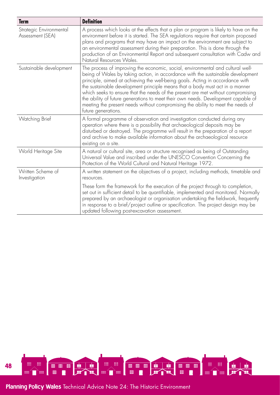| <b>Term</b>                                 | <b>Definition</b>                                                                                                                                                                                                                                                                                                                                                                                                                                                                                                                                                                                                      |
|---------------------------------------------|------------------------------------------------------------------------------------------------------------------------------------------------------------------------------------------------------------------------------------------------------------------------------------------------------------------------------------------------------------------------------------------------------------------------------------------------------------------------------------------------------------------------------------------------------------------------------------------------------------------------|
| Strategic Environmental<br>Assessment (SEA) | A process which looks at the effects that a plan or program is likely to have on the<br>environment before it is started. The SEA regulations require that certain proposed<br>plans and programs that may have an impact on the environment are subject to<br>an environmental assessment during their preparation. This is done through the<br>production of an Environmental Report and subsequent consultation with Cadw and<br>Natural Resources Wales.                                                                                                                                                           |
| Sustainable development                     | The process of improving the economic, social, environmental and cultural well-<br>being of Wales by taking action, in accordance with the sustainable development<br>principle, aimed at achieving the well-being goals. Acting in accordance with<br>the sustainable development principle means that a body must act in a manner<br>which seeks to ensure that the needs of the present are met without compromising<br>the ability of future generations to meet their own needs. Development capable of<br>meeting the present needs without compromising the ability to meet the needs of<br>future generations. |
| Watching Brief                              | A formal programme of observation and investigation conducted during any<br>operation where there is a possibility that archaeological deposits may be<br>disturbed or destroyed. The programme will result in the preparation of a report<br>and archive to make available information about the archaeological resource<br>existing on a site.                                                                                                                                                                                                                                                                       |
| World Heritage Site                         | A natural or cultural site, area or structure recognised as being of Outstanding<br>Universal Value and inscribed under the UNESCO Convention Concerning the<br>Protection of the World Cultural and Natural Heritage 1972.                                                                                                                                                                                                                                                                                                                                                                                            |
| Written Scheme of<br>Investigation          | A written statement on the objectives of a project, including methods, timetable and<br>resources.                                                                                                                                                                                                                                                                                                                                                                                                                                                                                                                     |
|                                             | These form the framework for the execution of the project through to completion,<br>set out in sufficient detail to be quantifiable, implemented and monitored. Normally<br>prepared by an archaeologist or organisation undertaking the fieldwork, frequently<br>in response to a brief/project outline or specification. The project design may be<br>updated following post-excavation assessment.                                                                                                                                                                                                                  |

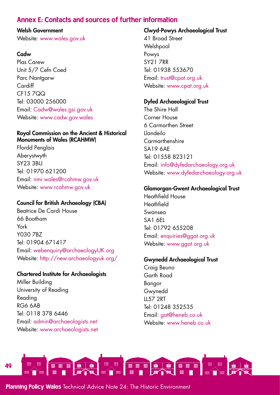# <span id="page-48-0"></span>Annex E: Contacts and sources of further information

#### Welsh Government

Website: [www.wales.gov.uk](http://www.wales.gov.uk) 

#### **Cadw**

Plas Carew Unit 5/7 Cefn Coed Parc Nantaarw Cardiff CF15 7QQ Tel: 03000 256000 Email: [Cadw@wales.gsi.gov.uk](mailto:Cadw%40wales.gsi.gov.uk?subject=) Website: [www.cadw.gov.wales](http://www.cadw.gov.wales)

#### Royal Commission on the Ancient & Historical Monuments of Wales (RCAHMW)

Ffordd Penglais Aberystwyth SY23 3BU Tel: 01970 621200 Email: [nmr.wales@rcahmw.gov.uk](mailto:nmr.wales%40rcahmw.gov.uk?subject=) Website: [www.rcahmw.gov.uk](http://www.rcahmw.gov.uk)

## Council for British Archaeology (CBA)

Beatrice De Cardi House 66 Bootham York Y030 7BZ Tel: 01904 671417 Email: [webenquiry@archaeologyUK.org](mailto:webenquiry%40archaeologyUK.org?subject=) Website: <http://new.archaeologyuk.org/>

## Chartered Institute for Archaeologists

Miller Building University of Reading Reading RG6 6AB Tel: 0118 378 6446 Email: [admin@archaeologists.net](mailto:admin%40archaeologists.net%20?subject=)  Website: [www.archaeologists.net](http://www.archaeologists.net)

#### Clwyd-Powys Archaeological Trust

41 Broad Street **Welshpool** Powys SY21 7RR Tel: 01938 553670 Email: [trust@cpat.org.uk](mailto:trust%40cpat.org.uk?subject=) Website: [www.cpat.org.uk](http://www.cpat.org.uk)

## Dyfed Archaeological Trust

The Shire Hall Corner House 6 Carmarthen Street Llandeilo **Carmarthenshire** SA19 6AE Tel: 01558 823121 Email: [info@dyfedarchaeology.org.uk](mailto:info%40dyfedarchaeology.org.uk?subject=) Website: [www.dyfedarchaeology.org.uk](http://www.dyfedarchaeology.org.uk)

#### Glamorgan-Gwent Archaeological Trust

Heathfield House Heathfield Swansea SA1 6EL Tel: 01792 655208 Email: [enquiries@ggat.org.uk](mailto:enquiries%40ggat.org.uk?subject=) Website: [www.ggat.org.uk](http://www.ggat.org.uk)

#### Gwynedd Archaeological Trust

Craig Beuno Garth Road Bangor Gwynedd LL57 2RT Tel: 01248 352535 Email: [gat@heneb.co.uk](mailto:gat%40heneb.co.uk?subject=) Website: [www.heneb.co.uk](http://www.heneb.co.uk)

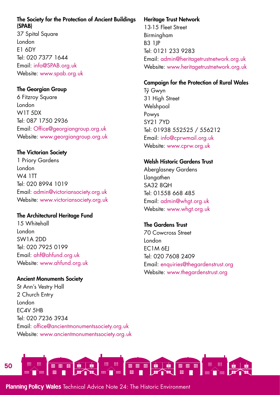#### The Society for the Protection of Ancient Buildings (SPAB)

37 Spital Square London E1 6DY Tel: 020 7377 1644 Email: [info@SPAB.org.uk](mailto:info%40SPAB.org.uk?subject=) Website: [www.spab.org.uk](http://www.spab.org.uk)

## The Georgian Group

6 Fitzroy Square London W1T 5DX Tel: 087 1750 2936 Email: [Office@georgiangroup.org.uk](mailto:Office%40georgiangroup.org.uk?subject=) Website: [www.georgiangroup.org.uk](http://www.georgiangroup.org.uk)

## The Victorian Society

1 Priory Gardens London W4 1TT Tel: 020 8994 1019 Email: [admin@victoriansociety.org.uk](mailto:admin%40victoriansociety.org.uk?subject=) Website: [www.victoriansociety.org.uk](http://www.victoriansociety.org.uk)

## The Architectural Heritage Fund

15 Whitehall London SW1A 2DD Tel: 020 7925 0199 Email: [ahf@ahfund.org.uk](mailto:ahf%40ahfund.org.uk?subject=) Website: [www.ahfund.org.uk](http://www.ahfund.org.uk)

## Ancient Monuments Society

St Ann's Vestry Hall 2 Church Entry London EC4V 5HB Tel: 020 7236 3934 Email: [office@ancientmonumentssociety.org.uk](mailto:office%40ancientmonumentssociety.org.uk?subject=) Website: [www.ancientmonumentssociety.org.uk](http://www.ancientmonumentssociety.org.uk)

## Heritage Trust Network

13-15 Fleet Street Birmingham B3 1JP Tel: 0121 233 9283 Email: [admin@heritagetrustnetwork.org.uk](mailto:admin%40heritagetrustnetwork.org.uk?subject=) Website: [www.heritagetrustnetwork.org.uk](http://www.heritagetrustnetwork.org.uk)

## Campaign for the Protection of Rural Wales

Tyˆ Gwyn 31 High Street Welshpool Powys SY21 7YD Tel: 01938 552525 / 556212 Email: [info@cprwmail.org.uk](mailto:info%40cprwmail.org.uk?subject=) Website: [www.cprw.org.uk](http://www.cprw.org.uk)

## Welsh Historic Gardens Trust

Aberglasney Gardens **Llangathen** SA32 8QH Tel: 01558 668 485 Email: [admin@whgt.org.uk](mailto:admin%40whgt.org.uk?subject=) Website: [www.whgt.org.uk](http://www.whgt.org.uk)

## The Gardens Trust

70 Cowcross Street London EC1M 6EJ Tel: 020 7608 2409 Email: [enquiries@thegardenstrust.org](mailto:enquiries%40thegardenstrust.org?subject=) Website: [www.thegardenstrust.org](http://www.thegardenstrust.org)

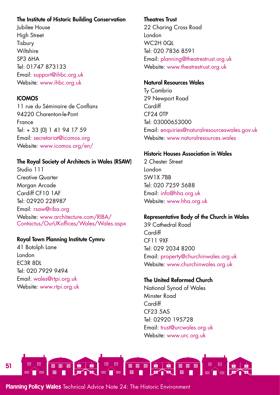#### The Institute of Historic Building Conservation

Jubilee House High Street Tisbury **Wiltshire** SP3 6HA Tel: 01747 873133 Email: [support@ihbc.org.uk](mailto:support%40ihbc.org.uk?subject=) Website: [www.ihbc.org.uk](http://www.ihbc.org.uk)

#### ICOMOS

11 rue du Séminaire de Conflans 94220 Charenton-le-Pont France Tel: + 33 (0) 1 41 94 17 59 Email: [secretariat@icomos.org](mailto:secretariat%40icomos.org?subject=) Website: [www.icomos.org/en/](http://www.icomos.org/en/)

#### The Royal Society of Architects in Wales (RSAW)

Studio 111 Creative Quarter Morgan Arcade Cardiff CF10 1AF Tel: 02920 228987 Email: rsaw@riba.org Website: [www.architecture.com/RIBA/](http://www.architecture.com/RIBA/Contactus/OurUKoffices/Wales/Wales.aspx) [Contactus/OurUKoffices/Wales/Wales.aspx](http://www.architecture.com/RIBA/Contactus/OurUKoffices/Wales/Wales.aspx)

#### Royal Town Planning Institute Cymru

41 Botolph Lane London EC3R 8DL Tel: 020 7929 9494 Email: [wales@rtpi.org.uk](mailto:wales%40rtpi.org.uk?subject=) Website: [www.rtpi.org.uk](http://www.rtpi.org.uk)

#### Theatres Trust

22 Charing Cross Road London WC2H 0QL Tel: 020 7836 8591 Email: [planning@theatrestrust.org.uk](mailto:planning%40theatrestrust.org.uk?subject=) Website: [www.theatrestrust.org.uk](http://www.theatrestrust.org.uk)

#### Natural Resources Wales

Ty Cambria 29 Newport Road **Cardiff** CF24 0TP Tel: 03000653000 Email: [enquiries@naturalresourceswales.gov.uk](mailto:enquiries%40naturalresourceswales.gov.uk?subject=) Website: [www.naturalresources.wales](http://www.naturalresources.wales)

#### Historic Houses Association in Wales

2 Chester Street London SW1X 7BB Tel: 020 7259 5688 Email: [info@hha.org.uk](mailto:info%40hha.org.uk?subject=) Website: [www.hha.org.uk](http://www.hha.org.uk)

## Representative Body of the Church in Wales

39 Cathedral Road Cardiff CF11 9XF Tel: 029 2034 8200 Email: [property@churchinwales.org.uk](mailto:property%40churchinwales.org.uk?subject=) Website: [www.churchinwales.org.uk](http://www.churchinwales.org.uk)

## The United Reformed Church

National Synod of Wales Minster Road **Cardiff** CF23 5AS Tel: 02920 195728 Email: [trust@urcwales.org.uk](mailto:trust%40urcwales.org.uk?subject=) Website: [www.urc.org.uk](http://www.urc.org.uk)